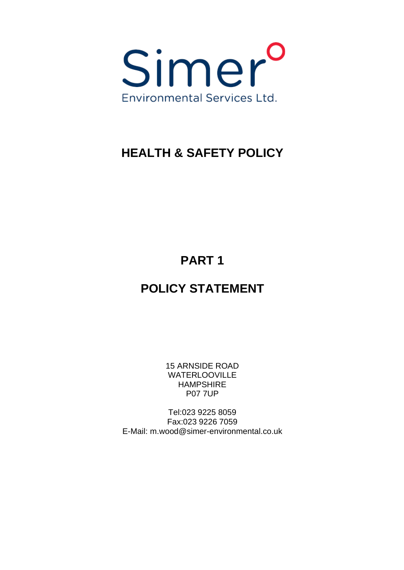

# **HEALTH & SAFETY POLICY**

**PART 1**

# **POLICY STATEMENT**

15 ARNSIDE ROAD WATERLOOVILLE HAMPSHIRE P07 7UP

Tel:023 9225 8059 Fax:023 9226 7059 E-Mail: [m.wood@simer-environmental.co.uk](mailto:m.wood@simer-environmental.co.uk)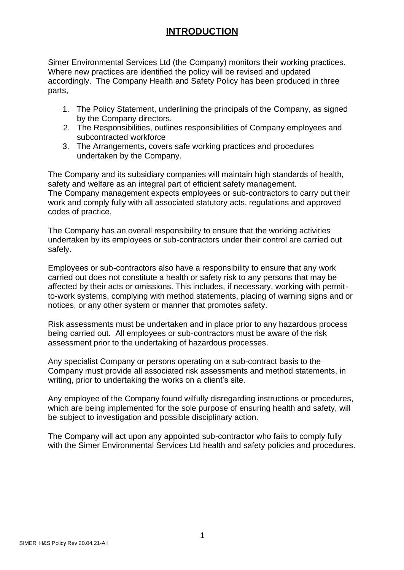### **INTRODUCTION**

Simer Environmental Services Ltd (the Company) monitors their working practices. Where new practices are identified the policy will be revised and updated accordingly. The Company Health and Safety Policy has been produced in three parts,

- 1. The Policy Statement, underlining the principals of the Company, as signed by the Company directors.
- 2. The Responsibilities, outlines responsibilities of Company employees and subcontracted workforce
- 3. The Arrangements, covers safe working practices and procedures undertaken by the Company.

The Company and its subsidiary companies will maintain high standards of health, safety and welfare as an integral part of efficient safety management. The Company management expects employees or sub-contractors to carry out their work and comply fully with all associated statutory acts, regulations and approved codes of practice.

The Company has an overall responsibility to ensure that the working activities undertaken by its employees or sub-contractors under their control are carried out safely.

Employees or sub-contractors also have a responsibility to ensure that any work carried out does not constitute a health or safety risk to any persons that may be affected by their acts or omissions. This includes, if necessary, working with permitto-work systems, complying with method statements, placing of warning signs and or notices, or any other system or manner that promotes safety.

Risk assessments must be undertaken and in place prior to any hazardous process being carried out. All employees or sub-contractors must be aware of the risk assessment prior to the undertaking of hazardous processes.

Any specialist Company or persons operating on a sub-contract basis to the Company must provide all associated risk assessments and method statements, in writing, prior to undertaking the works on a client's site.

Any employee of the Company found wilfully disregarding instructions or procedures, which are being implemented for the sole purpose of ensuring health and safety, will be subject to investigation and possible disciplinary action.

The Company will act upon any appointed sub-contractor who fails to comply fully with the Simer Environmental Services Ltd health and safety policies and procedures.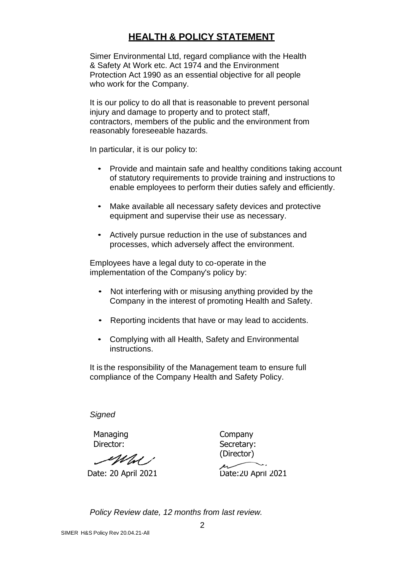### **HEALTH & POLICY STATEMENT**

Simer Environmental Ltd, regard compliance with the Health & Safety At Work etc. Act 1974 and the Environment Protection Act 1990 as an essential objective for all people who work for the Company.

It is our policy to do all that is reasonable to prevent personal injury and damage to property and to protect staff, contractors, members of the public and the environment from reasonably foreseeable hazards.

In particular, it is our policy to:

- Provide and maintain safe and healthy conditions taking account of statutory requirements to provide training and instructions to enable employees to perform their duties safely and efficiently.
- Make available all necessary safety devices and protective equipment and supervise their use as necessary.
- Actively pursue reduction in the use of substances and processes, which adversely affect the environment.

Employees have a legal duty to co-operate in the implementation of the Company's policy by:

- Not interfering with or misusing anything provided by the Company in the interest of promoting Health and Safety.
- Reporting incidents that have or may lead to accidents.
- Complying with all Health, Safety and Environmental instructions.

It is the responsibility of the Management team to ensure full compliance of the Company Health and Safety Policy.

*Signed*

**Managing** Director:

 Company Secretary: (Director)

Mal 1

Date: 20 April 2021 Date:20 April 2021

*Policy Review date, 12 months from last review.*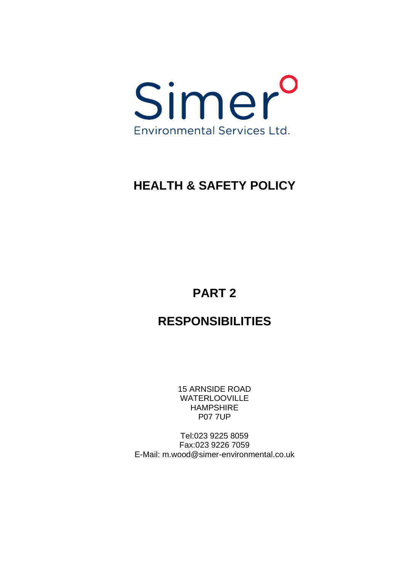

# **HEALTH & SAFETY POLICY**

# **PART 2**

# **RESPONSIBILITIES**

15 ARNSIDE ROAD WATERLOOVILLE HAMPSHIRE P07 7UP

Tel:023 9225 8059 Fax:023 9226 7059 E-Mail: [m.wood@simer-environmental.co.uk](mailto:m.wood@simer-environmental.co.uk)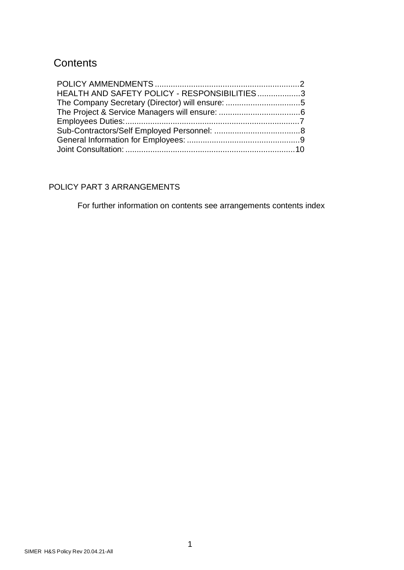# **Contents**

| HEALTH AND SAFETY POLICY - RESPONSIBILITIES3 |  |
|----------------------------------------------|--|
|                                              |  |
|                                              |  |
|                                              |  |
|                                              |  |
|                                              |  |
|                                              |  |

### POLICY PART 3 ARRANGEMENTS

For further information on contents see arrangements contents index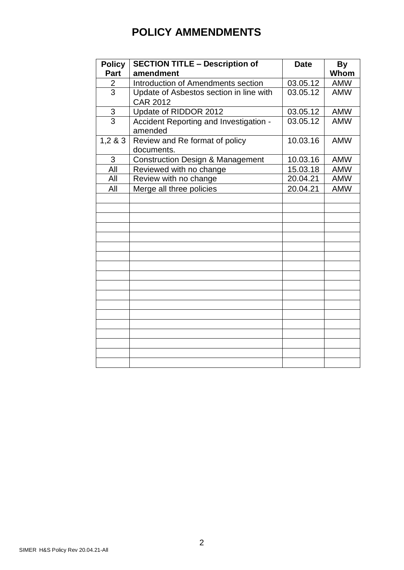# **POLICY AMMENDMENTS**

| <b>Policy</b>  | <b>SECTION TITLE - Description of</b>             | <b>Date</b> | <b>By</b>  |
|----------------|---------------------------------------------------|-------------|------------|
| Part           | amendment                                         |             | Whom       |
| 2              | Introduction of Amendments section                | 03.05.12    | <b>AMW</b> |
| $\overline{3}$ | Update of Asbestos section in line with           | 03.05.12    | <b>AMW</b> |
|                | <b>CAR 2012</b>                                   |             |            |
| $rac{3}{3}$    | Update of RIDDOR 2012                             | 03.05.12    | <b>AMW</b> |
|                | Accident Reporting and Investigation -<br>amended | 03.05.12    | <b>AMW</b> |
| 1,283          | Review and Re format of policy<br>documents.      | 10.03.16    | <b>AMW</b> |
| 3              | <b>Construction Design &amp; Management</b>       | 10.03.16    | <b>AMW</b> |
| All            | Reviewed with no change                           | 15.03.18    | <b>AMW</b> |
| All            | Review with no change                             | 20.04.21    | <b>AMW</b> |
| All            | Merge all three policies                          | 20.04.21    | <b>AMW</b> |
|                |                                                   |             |            |
|                |                                                   |             |            |
|                |                                                   |             |            |
|                |                                                   |             |            |
|                |                                                   |             |            |
|                |                                                   |             |            |
|                |                                                   |             |            |
|                |                                                   |             |            |
|                |                                                   |             |            |
|                |                                                   |             |            |
|                |                                                   |             |            |
|                |                                                   |             |            |
|                |                                                   |             |            |
|                |                                                   |             |            |
|                |                                                   |             |            |
|                |                                                   |             |            |
|                |                                                   |             |            |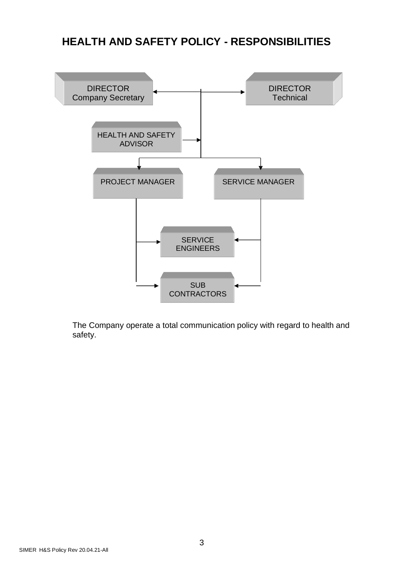## **HEALTH AND SAFETY POLICY - RESPONSIBILITIES**



The Company operate a total communication policy with regard to health and safety.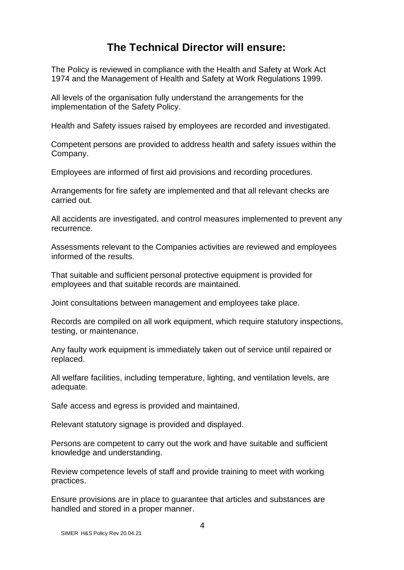## **The Technical Director will ensure:**

The Policy is reviewed in compliance with the Health and Safety at Work Act 1974 and the Management of Health and Safety at Work Regulations 1999.

All levels of the organisation fully understand the arrangements for the implementation of the Safety Policy.

Health and Safety issues raised by employees are recorded and investigated.

Competent persons are provided to address health and safety issues within the Company.

Employees are informed of first aid provisions and recording procedures.

Arrangements for fire safety are implemented and that all relevant checks are carried out.

All accidents are investigated, and control measures implemented to prevent any recurrence.

Assessments relevant to the Companies activities are reviewed and employees informed of the results.

That suitable and sufficient personal protective equipment is provided for employees and that suitable records are maintained.

Joint consultations between management and employees take place.

Records are compiled on all work equipment, which require statutory inspections, testing, or maintenance.

Any faulty work equipment is immediately taken out of service until repaired or replaced.

All welfare facilities, including temperature, lighting, and ventilation levels, are adequate.

Safe access and egress is provided and maintained.

Relevant statutory signage is provided and displayed.

Persons are competent to carry out the work and have suitable and sufficient knowledge and understanding.

Review competence levels of staff and provide training to meet with working practices.

Ensure provisions are in place to guarantee that articles and substances are handled and stored in a proper manner.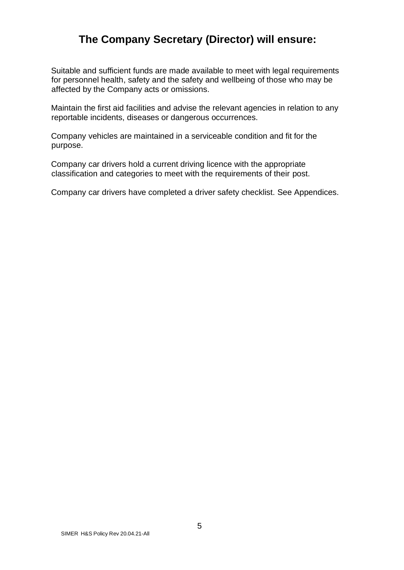## **The Company Secretary (Director) will ensure:**

Suitable and sufficient funds are made available to meet with legal requirements for personnel health, safety and the safety and wellbeing of those who may be affected by the Company acts or omissions.

Maintain the first aid facilities and advise the relevant agencies in relation to any reportable incidents, diseases or dangerous occurrences.

Company vehicles are maintained in a serviceable condition and fit for the purpose.

Company car drivers hold a current driving licence with the appropriate classification and categories to meet with the requirements of their post.

Company car drivers have completed a driver safety checklist. See Appendices.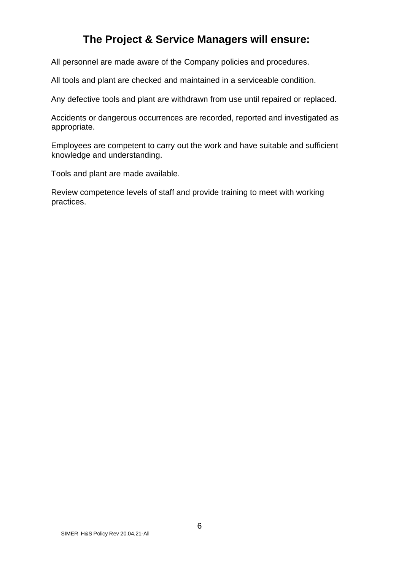## **The Project & Service Managers will ensure:**

All personnel are made aware of the Company policies and procedures.

All tools and plant are checked and maintained in a serviceable condition.

Any defective tools and plant are withdrawn from use until repaired or replaced.

Accidents or dangerous occurrences are recorded, reported and investigated as appropriate.

Employees are competent to carry out the work and have suitable and sufficient knowledge and understanding.

Tools and plant are made available.

Review competence levels of staff and provide training to meet with working practices.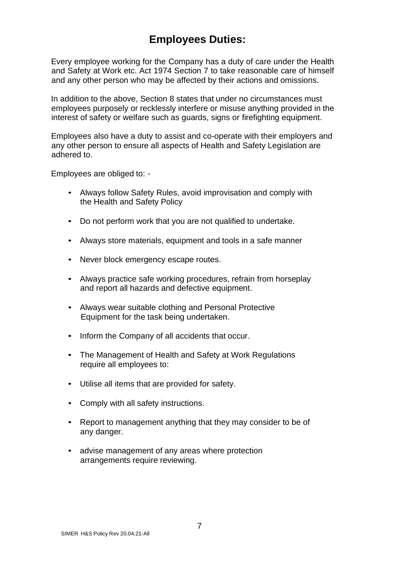## **Employees Duties:**

Every employee working for the Company has a duty of care under the Health and Safety at Work etc. Act 1974 Section 7 to take reasonable care of himself and any other person who may be affected by their actions and omissions.

In addition to the above, Section 8 states that under no circumstances must employees purposely or recklessly interfere or misuse anything provided in the interest of safety or welfare such as guards, signs or firefighting equipment.

Employees also have a duty to assist and co-operate with their employers and any other person to ensure all aspects of Health and Safety Legislation are adhered to.

Employees are obliged to: -

- Always follow Safety Rules, avoid improvisation and comply with the Health and Safety Policy
- Do not perform work that you are not qualified to undertake.
- Always store materials, equipment and tools in a safe manner
- Never block emergency escape routes.
- Always practice safe working procedures, refrain from horseplay and report all hazards and defective equipment.
- Always wear suitable clothing and Personal Protective Equipment for the task being undertaken.
- Inform the Company of all accidents that occur.
- The Management of Health and Safety at Work Regulations require all employees to:
- Utilise all items that are provided for safety.
- Comply with all safety instructions.
- Report to management anything that they may consider to be of any danger.
- advise management of any areas where protection arrangements require reviewing.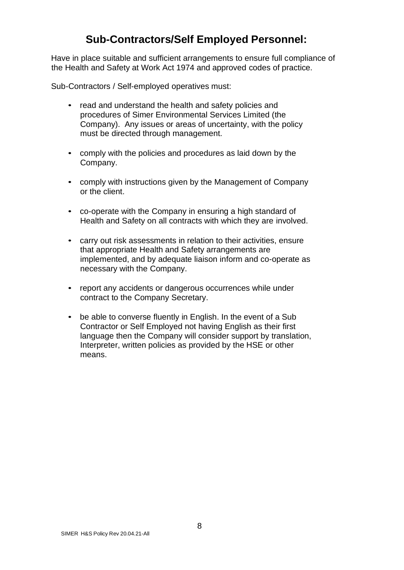## **Sub-Contractors/Self Employed Personnel:**

Have in place suitable and sufficient arrangements to ensure full compliance of the Health and Safety at Work Act 1974 and approved codes of practice.

Sub-Contractors / Self-employed operatives must:

- read and understand the health and safety policies and procedures of Simer Environmental Services Limited (the Company). Any issues or areas of uncertainty, with the policy must be directed through management.
- comply with the policies and procedures as laid down by the Company.
- comply with instructions given by the Management of Company or the client.
- co-operate with the Company in ensuring a high standard of Health and Safety on all contracts with which they are involved.
- carry out risk assessments in relation to their activities, ensure that appropriate Health and Safety arrangements are implemented, and by adequate liaison inform and co-operate as necessary with the Company.
- report any accidents or dangerous occurrences while under contract to the Company Secretary.
- be able to converse fluently in English. In the event of a Sub Contractor or Self Employed not having English as their first language then the Company will consider support by translation, Interpreter, written policies as provided by the HSE or other means.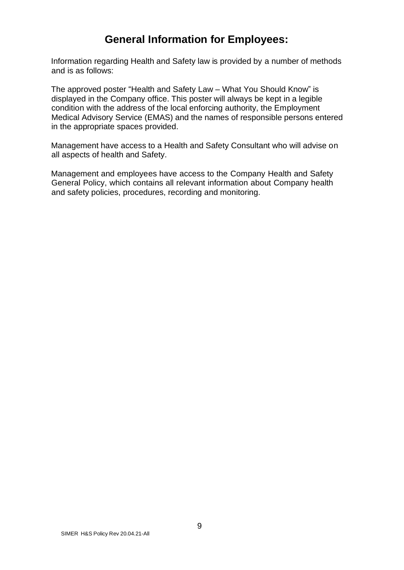## **General Information for Employees:**

Information regarding Health and Safety law is provided by a number of methods and is as follows:

The approved poster "Health and Safety Law – What You Should Know" is displayed in the Company office. This poster will always be kept in a legible condition with the address of the local enforcing authority, the Employment Medical Advisory Service (EMAS) and the names of responsible persons entered in the appropriate spaces provided.

Management have access to a Health and Safety Consultant who will advise on all aspects of health and Safety.

Management and employees have access to the Company Health and Safety General Policy, which contains all relevant information about Company health and safety policies, procedures, recording and monitoring.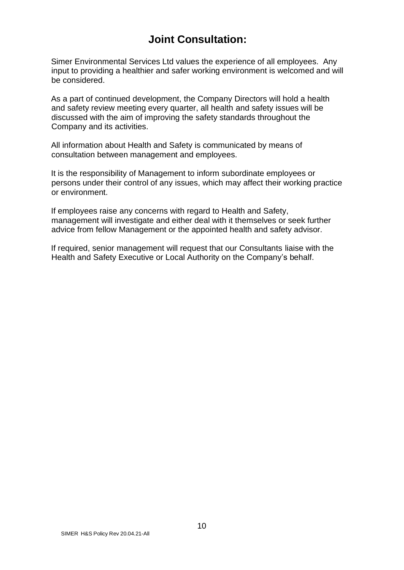## **Joint Consultation:**

Simer Environmental Services Ltd values the experience of all employees. Any input to providing a healthier and safer working environment is welcomed and will be considered.

As a part of continued development, the Company Directors will hold a health and safety review meeting every quarter, all health and safety issues will be discussed with the aim of improving the safety standards throughout the Company and its activities.

All information about Health and Safety is communicated by means of consultation between management and employees.

It is the responsibility of Management to inform subordinate employees or persons under their control of any issues, which may affect their working practice or environment.

If employees raise any concerns with regard to Health and Safety, management will investigate and either deal with it themselves or seek further advice from fellow Management or the appointed health and safety advisor.

If required, senior management will request that our Consultants liaise with the Health and Safety Executive or Local Authority on the Company's behalf.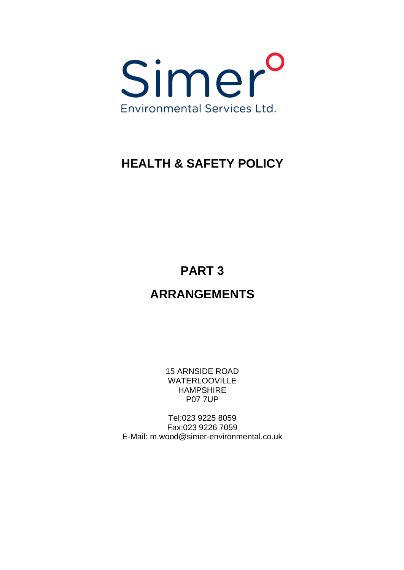

# **HEALTH & SAFETY POLICY**

**PART 3**

# **ARRANGEMENTS**

15 ARNSIDE ROAD WATERLOOVILLE HAMPSHIRE P07 7UP

Tel:023 9225 8059 Fax:023 9226 7059 E-Mail: [m.wood@simer-environmental.co.uk](mailto:m.wood@simer-environmental.co.uk)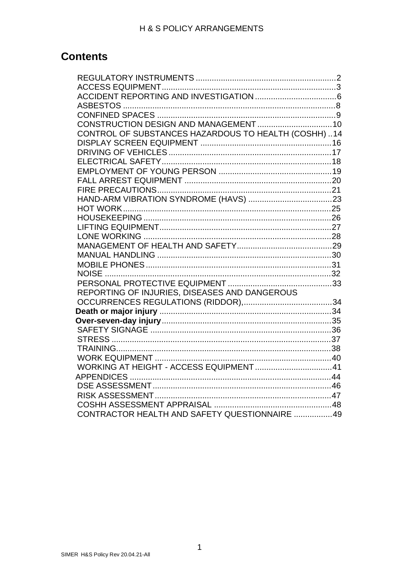## **Contents**

| CONTROL OF SUBSTANCES HAZARDOUS TO HEALTH (COSHH)14 |  |
|-----------------------------------------------------|--|
|                                                     |  |
|                                                     |  |
|                                                     |  |
|                                                     |  |
|                                                     |  |
|                                                     |  |
|                                                     |  |
|                                                     |  |
|                                                     |  |
|                                                     |  |
|                                                     |  |
|                                                     |  |
|                                                     |  |
|                                                     |  |
|                                                     |  |
|                                                     |  |
| REPORTING OF INJURIES, DISEASES AND DANGEROUS       |  |
|                                                     |  |
|                                                     |  |
|                                                     |  |
|                                                     |  |
|                                                     |  |
|                                                     |  |
|                                                     |  |
|                                                     |  |
|                                                     |  |
|                                                     |  |
|                                                     |  |
|                                                     |  |
| CONTRACTOR HEALTH AND SAFETY QUESTIONNAIRE 49       |  |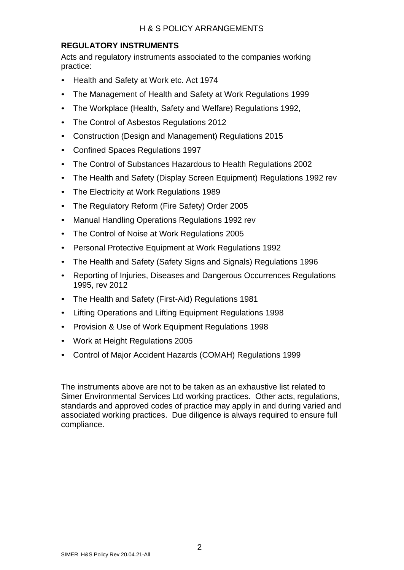### **REGULATORY INSTRUMENTS**

Acts and regulatory instruments associated to the companies working practice:

- Health and Safety at Work etc. Act 1974
- The Management of Health and Safety at Work Regulations 1999
- The Workplace (Health, Safety and Welfare) Regulations 1992,
- The Control of Asbestos Regulations 2012
- Construction (Design and Management) Regulations 2015
- Confined Spaces Regulations 1997
- The Control of Substances Hazardous to Health Regulations 2002
- The Health and Safety (Display Screen Equipment) Regulations 1992 rev
- The Electricity at Work Regulations 1989
- The Regulatory Reform (Fire Safety) Order 2005
- Manual Handling Operations Regulations 1992 rev
- The Control of Noise at Work Regulations 2005
- Personal Protective Equipment at Work Regulations 1992
- The Health and Safety (Safety Signs and Signals) Regulations 1996
- Reporting of Injuries, Diseases and Dangerous Occurrences Regulations 1995, rev 2012
- The Health and Safety (First-Aid) Regulations 1981
- Lifting Operations and Lifting Equipment Regulations 1998
- Provision & Use of Work Equipment Regulations 1998
- Work at Height Regulations 2005
- Control of Major Accident Hazards (COMAH) Regulations 1999

The instruments above are not to be taken as an exhaustive list related to Simer Environmental Services Ltd working practices. Other acts, regulations, standards and approved codes of practice may apply in and during varied and associated working practices. Due diligence is always required to ensure full compliance.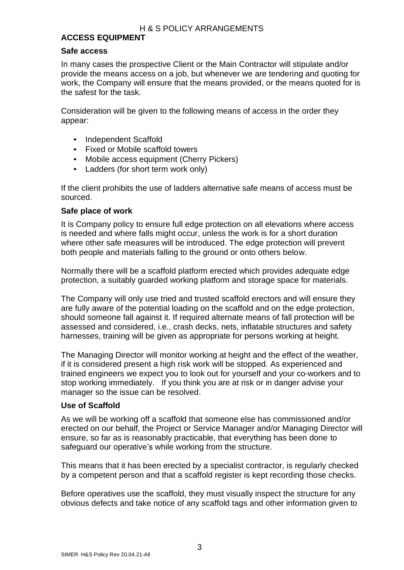### **ACCESS EQUIPMENT**

### **Safe access**

In many cases the prospective Client or the Main Contractor will stipulate and/or provide the means access on a job, but whenever we are tendering and quoting for work, the Company will ensure that the means provided, or the means quoted for is the safest for the task.

Consideration will be given to the following means of access in the order they appear:

- Independent Scaffold
- Fixed or Mobile scaffold towers
- Mobile access equipment (Cherry Pickers)
- Ladders (for short term work only)

If the client prohibits the use of ladders alternative safe means of access must be sourced.

### **Safe place of work**

It is Company policy to ensure full edge protection on all elevations where access is needed and where falls might occur, unless the work is for a short duration where other safe measures will be introduced. The edge protection will prevent both people and materials falling to the ground or onto others below.

Normally there will be a scaffold platform erected which provides adequate edge protection, a suitably guarded working platform and storage space for materials.

The Company will only use tried and trusted scaffold erectors and will ensure they are fully aware of the potential loading on the scaffold and on the edge protection, should someone fall against it. If required alternate means of fall protection will be assessed and considered, i.e., crash decks, nets, inflatable structures and safety harnesses, training will be given as appropriate for persons working at height.

The Managing Director will monitor working at height and the effect of the weather, if it is considered present a high risk work will be stopped. As experienced and trained engineers we expect you to look out for yourself and your co-workers and to stop working immediately. If you think you are at risk or in danger advise your manager so the issue can be resolved.

### **Use of Scaffold**

As we will be working off a scaffold that someone else has commissioned and/or erected on our behalf, the Project or Service Manager and/or Managing Director will ensure, so far as is reasonably practicable, that everything has been done to safeguard our operative's while working from the structure.

This means that it has been erected by a specialist contractor, is regularly checked by a competent person and that a scaffold register is kept recording those checks.

Before operatives use the scaffold, they must visually inspect the structure for any obvious defects and take notice of any scaffold tags and other information given to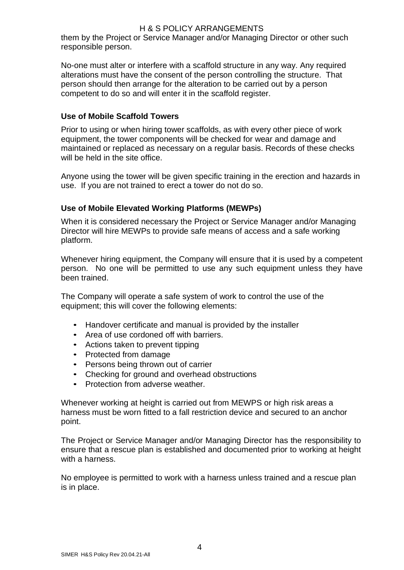### H & S POLICY ARRANGEMENTS

them by the Project or Service Manager and/or Managing Director or other such responsible person.

No-one must alter or interfere with a scaffold structure in any way. Any required alterations must have the consent of the person controlling the structure. That person should then arrange for the alteration to be carried out by a person competent to do so and will enter it in the scaffold register.

### **Use of Mobile Scaffold Towers**

Prior to using or when hiring tower scaffolds, as with every other piece of work equipment, the tower components will be checked for wear and damage and maintained or replaced as necessary on a regular basis. Records of these checks will be held in the site office.

Anyone using the tower will be given specific training in the erection and hazards in use. If you are not trained to erect a tower do not do so.

### **Use of Mobile Elevated Working Platforms (MEWPs)**

When it is considered necessary the Project or Service Manager and/or Managing Director will hire MEWPs to provide safe means of access and a safe working platform.

Whenever hiring equipment, the Company will ensure that it is used by a competent person. No one will be permitted to use any such equipment unless they have been trained.

The Company will operate a safe system of work to control the use of the equipment; this will cover the following elements:

- Handover certificate and manual is provided by the installer
- Area of use cordoned off with barriers.
- Actions taken to prevent tipping
- Protected from damage
- Persons being thrown out of carrier
- Checking for ground and overhead obstructions
- Protection from adverse weather.

Whenever working at height is carried out from MEWPS or high risk areas a harness must be worn fitted to a fall restriction device and secured to an anchor point.

The Project or Service Manager and/or Managing Director has the responsibility to ensure that a rescue plan is established and documented prior to working at height with a harness.

No employee is permitted to work with a harness unless trained and a rescue plan is in place.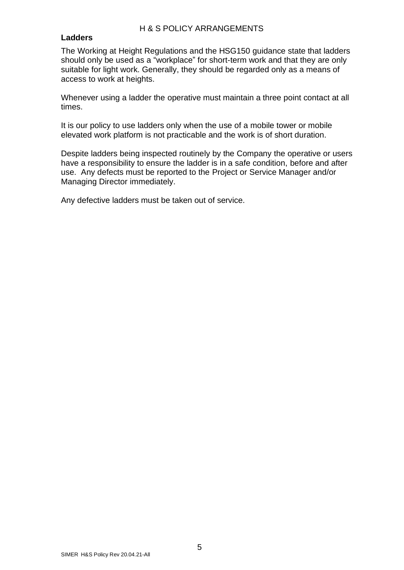#### **Ladders**

The Working at Height Regulations and the HSG150 guidance state that ladders should only be used as a "workplace" for short-term work and that they are only suitable for light work. Generally, they should be regarded only as a means of access to work at heights.

Whenever using a ladder the operative must maintain a three point contact at all times.

It is our policy to use ladders only when the use of a mobile tower or mobile elevated work platform is not practicable and the work is of short duration.

Despite ladders being inspected routinely by the Company the operative or users have a responsibility to ensure the ladder is in a safe condition, before and after use. Any defects must be reported to the Project or Service Manager and/or Managing Director immediately.

Any defective ladders must be taken out of service.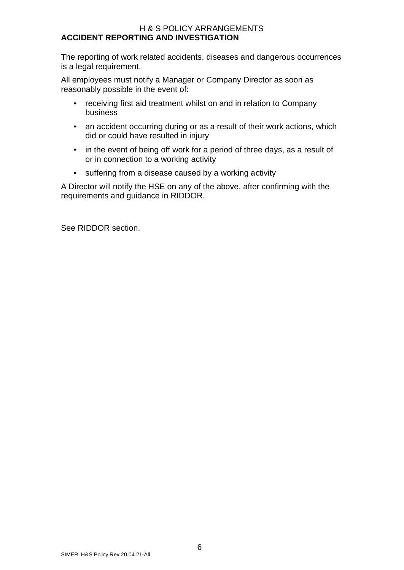#### H & S POLICY ARRANGEMENTS **ACCIDENT REPORTING AND INVESTIGATION**

The reporting of work related accidents, diseases and dangerous occurrences is a legal requirement.

All employees must notify a Manager or Company Director as soon as reasonably possible in the event of:

- receiving first aid treatment whilst on and in relation to Company business
- an accident occurring during or as a result of their work actions, which did or could have resulted in injury
- in the event of being off work for a period of three days, as a result of or in connection to a working activity
- suffering from a disease caused by a working activity

A Director will notify the HSE on any of the above, after confirming with the requirements and guidance in RIDDOR.

See RIDDOR section.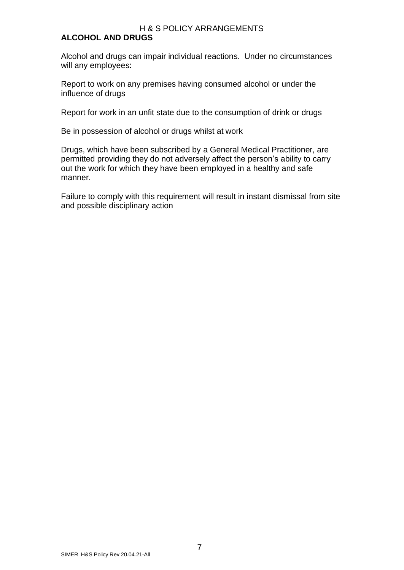### H & S POLICY ARRANGEMENTS

### **ALCOHOL AND DRUGS**

Alcohol and drugs can impair individual reactions. Under no circumstances will any employees:

Report to work on any premises having consumed alcohol or under the influence of drugs

Report for work in an unfit state due to the consumption of drink or drugs

Be in possession of alcohol or drugs whilst at work

Drugs, which have been subscribed by a General Medical Practitioner, are permitted providing they do not adversely affect the person's ability to carry out the work for which they have been employed in a healthy and safe manner.

Failure to comply with this requirement will result in instant dismissal from site and possible disciplinary action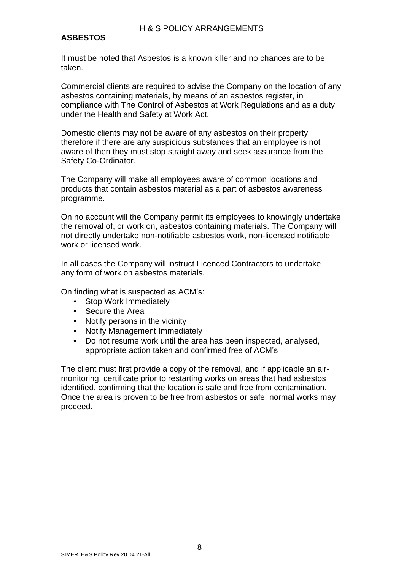### **ASBESTOS**

It must be noted that Asbestos is a known killer and no chances are to be taken.

Commercial clients are required to advise the Company on the location of any asbestos containing materials, by means of an asbestos register, in compliance with The Control of Asbestos at Work Regulations and as a duty under the Health and Safety at Work Act.

Domestic clients may not be aware of any asbestos on their property therefore if there are any suspicious substances that an employee is not aware of then they must stop straight away and seek assurance from the Safety Co-Ordinator.

The Company will make all employees aware of common locations and products that contain asbestos material as a part of asbestos awareness programme.

On no account will the Company permit its employees to knowingly undertake the removal of, or work on, asbestos containing materials. The Company will not directly undertake non-notifiable asbestos work, non-licensed notifiable work or licensed work.

In all cases the Company will instruct Licenced Contractors to undertake any form of work on asbestos materials.

On finding what is suspected as ACM's:

- Stop Work Immediately
- Secure the Area
- Notify persons in the vicinity
- Notify Management Immediately
- Do not resume work until the area has been inspected, analysed, appropriate action taken and confirmed free of ACM's

The client must first provide a copy of the removal, and if applicable an airmonitoring, certificate prior to restarting works on areas that had asbestos identified, confirming that the location is safe and free from contamination. Once the area is proven to be free from asbestos or safe, normal works may proceed.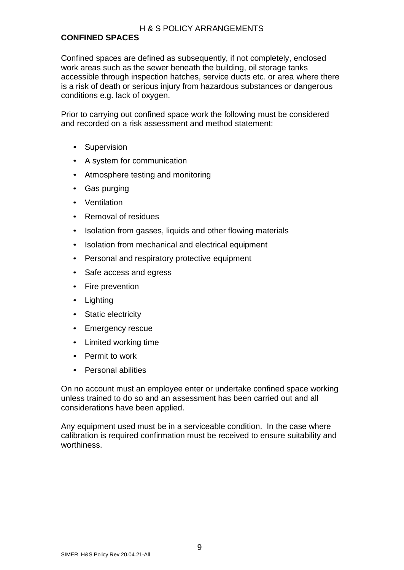### H & S POLICY ARRANGEMENTS

### **CONFINED SPACES**

Confined spaces are defined as subsequently, if not completely, enclosed work areas such as the sewer beneath the building, oil storage tanks accessible through inspection hatches, service ducts etc. or area where there is a risk of death or serious injury from hazardous substances or dangerous conditions e.g. lack of oxygen.

Prior to carrying out confined space work the following must be considered and recorded on a risk assessment and method statement:

- Supervision
- A system for communication
- Atmosphere testing and monitoring
- Gas purging
- Ventilation
- Removal of residues
- Isolation from gasses, liquids and other flowing materials
- Isolation from mechanical and electrical equipment
- Personal and respiratory protective equipment
- Safe access and egress
- Fire prevention
- Lighting
- Static electricity
- Emergency rescue
- Limited working time
- Permit to work
- Personal abilities

On no account must an employee enter or undertake confined space working unless trained to do so and an assessment has been carried out and all considerations have been applied.

Any equipment used must be in a serviceable condition. In the case where calibration is required confirmation must be received to ensure suitability and worthiness.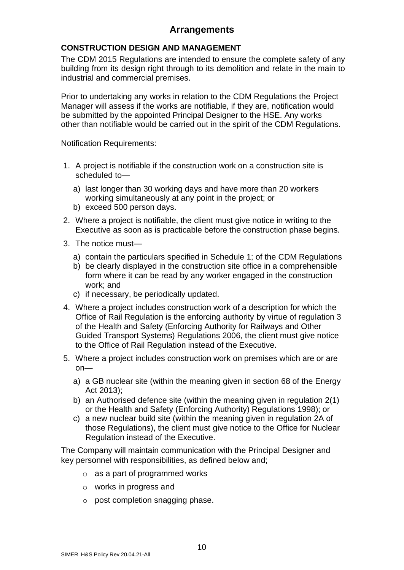### **CONSTRUCTION DESIGN AND MANAGEMENT**

The CDM 2015 Regulations are intended to ensure the complete safety of any building from its design right through to its demolition and relate in the main to industrial and commercial premises.

Prior to undertaking any works in relation to the CDM Regulations the Project Manager will assess if the works are notifiable, if they are, notification would be submitted by the appointed Principal Designer to the HSE. Any works other than notifiable would be carried out in the spirit of the CDM Regulations.

Notification Requirements:

- 1. A project is notifiable if the construction work on a construction site is scheduled to
	- a) last longer than 30 working days and have more than 20 workers working simultaneously at any point in the project; or
	- b) exceed 500 person days.
- 2. Where a project is notifiable, the client must give notice in writing to the Executive as soon as is practicable before the construction phase begins.
- 3. The notice must
	- a) contain the particulars specified in Schedule 1; of the CDM Regulations
	- b) be clearly displayed in the construction site office in a comprehensible form where it can be read by any worker engaged in the construction work; and
	- c) if necessary, be periodically updated.
- 4. Where a project includes construction work of a description for which the Office of Rail Regulation is the enforcing authority by virtue of regulation 3 of the Health and Safety (Enforcing Authority for Railways and Other Guided Transport Systems) Regulations 2006, the client must give notice to the Office of Rail Regulation instead of the Executive.
- 5. Where a project includes construction work on premises which are or are on
	- a) a GB nuclear site (within the meaning given in section 68 of the Energy Act 2013);
	- b) an Authorised defence site (within the meaning given in regulation 2(1) or the Health and Safety (Enforcing Authority) Regulations 1998); or
	- c) a new nuclear build site (within the meaning given in regulation 2A of those Regulations), the client must give notice to the Office for Nuclear Regulation instead of the Executive.

The Company will maintain communication with the Principal Designer and key personnel with responsibilities, as defined below and;

- $\circ$  as a part of programmed works
- o works in progress and
- o post completion snagging phase.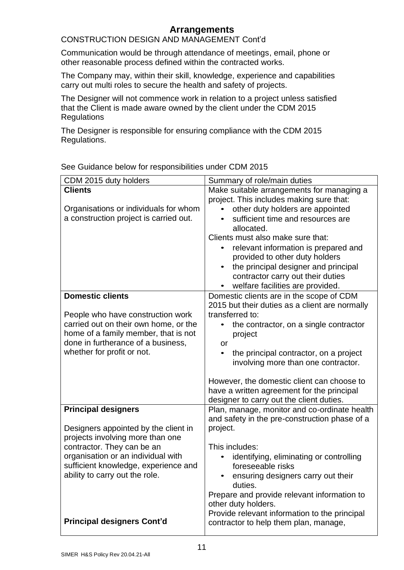### CONSTRUCTION DESIGN AND MANAGEMENT Cont'd

Communication would be through attendance of meetings, email, phone or other reasonable process defined within the contracted works.

The Company may, within their skill, knowledge, experience and capabilities carry out multi roles to secure the health and safety of projects.

The Designer will not commence work in relation to a project unless satisfied that the Client is made aware owned by the client under the CDM 2015 **Regulations** 

The Designer is responsible for ensuring compliance with the CDM 2015 Regulations.

| CDM 2015 duty holders                  | Summary of role/main duties                         |
|----------------------------------------|-----------------------------------------------------|
| <b>Clients</b>                         | Make suitable arrangements for managing a           |
|                                        | project. This includes making sure that:            |
| Organisations or individuals for whom  | other duty holders are appointed                    |
| a construction project is carried out. | sufficient time and resources are                   |
|                                        | allocated.                                          |
|                                        | Clients must also make sure that:                   |
|                                        | relevant information is prepared and                |
|                                        | provided to other duty holders                      |
|                                        | the principal designer and principal                |
|                                        | contractor carry out their duties                   |
|                                        | welfare facilities are provided.                    |
| <b>Domestic clients</b>                | Domestic clients are in the scope of CDM            |
|                                        | 2015 but their duties as a client are normally      |
| People who have construction work      | transferred to:                                     |
| carried out on their own home, or the  | the contractor, on a single contractor<br>$\bullet$ |
| home of a family member, that is not   | project                                             |
| done in furtherance of a business,     | or                                                  |
| whether for profit or not.             | the principal contractor, on a project<br>$\bullet$ |
|                                        | involving more than one contractor.                 |
|                                        | However, the domestic client can choose to          |
|                                        | have a written agreement for the principal          |
|                                        | designer to carry out the client duties.            |
| <b>Principal designers</b>             | Plan, manage, monitor and co-ordinate health        |
|                                        | and safety in the pre-construction phase of a       |
| Designers appointed by the client in   | project.                                            |
| projects involving more than one       |                                                     |
| contractor. They can be an             | This includes:                                      |
| organisation or an individual with     | identifying, eliminating or controlling             |
| sufficient knowledge, experience and   | foreseeable risks                                   |
| ability to carry out the role.         | ensuring designers carry out their<br>duties.       |
|                                        | Prepare and provide relevant information to         |
|                                        | other duty holders.                                 |
|                                        | Provide relevant information to the principal       |
| <b>Principal designers Cont'd</b>      | contractor to help them plan, manage,               |
|                                        |                                                     |

See Guidance below for responsibilities under CDM 2015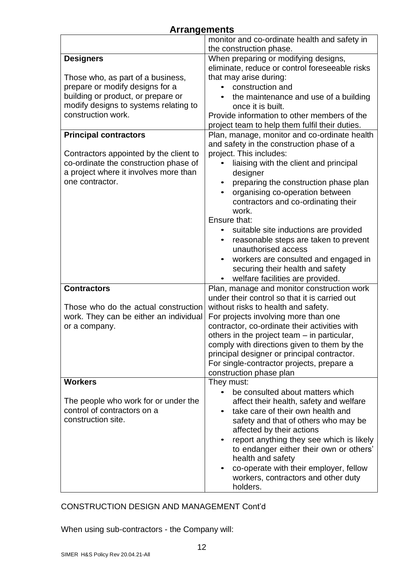| <b>Arrangements</b>                                      |                                                                        |
|----------------------------------------------------------|------------------------------------------------------------------------|
|                                                          | monitor and co-ordinate health and safety in                           |
|                                                          | the construction phase.                                                |
| <b>Designers</b>                                         | When preparing or modifying designs,                                   |
|                                                          | eliminate, reduce or control foreseeable risks                         |
| Those who, as part of a business,                        | that may arise during:                                                 |
| prepare or modify designs for a                          | construction and                                                       |
| building or product, or prepare or                       | the maintenance and use of a building                                  |
| modify designs to systems relating to                    | once it is built.                                                      |
| construction work.                                       | Provide information to other members of the                            |
|                                                          | project team to help them fulfil their duties.                         |
| <b>Principal contractors</b>                             | Plan, manage, monitor and co-ordinate health                           |
|                                                          | and safety in the construction phase of a                              |
| Contractors appointed by the client to                   | project. This includes:                                                |
| co-ordinate the construction phase of                    | liaising with the client and principal                                 |
| a project where it involves more than<br>one contractor. | designer                                                               |
|                                                          | preparing the construction phase plan                                  |
|                                                          | organising co-operation between<br>contractors and co-ordinating their |
|                                                          | work.                                                                  |
|                                                          | Ensure that:                                                           |
|                                                          | suitable site inductions are provided                                  |
|                                                          | reasonable steps are taken to prevent                                  |
|                                                          | unauthorised access                                                    |
|                                                          | workers are consulted and engaged in                                   |
|                                                          | securing their health and safety                                       |
|                                                          | welfare facilities are provided.                                       |
| <b>Contractors</b>                                       | Plan, manage and monitor construction work                             |
|                                                          | under their control so that it is carried out                          |
| Those who do the actual construction                     | without risks to health and safety.                                    |
| work. They can be either an individual                   | For projects involving more than one                                   |
| or a company.                                            | contractor, co-ordinate their activities with                          |
|                                                          | others in the project team - in particular,                            |
|                                                          | comply with directions given to them by the                            |
|                                                          | principal designer or principal contractor.                            |
|                                                          | For single-contractor projects, prepare a<br>construction phase plan   |
| <b>Workers</b>                                           | They must:                                                             |
|                                                          | be consulted about matters which                                       |
| The people who work for or under the                     | affect their health, safety and welfare                                |
| control of contractors on a                              | take care of their own health and                                      |
| construction site.                                       | safety and that of others who may be                                   |
|                                                          | affected by their actions                                              |
|                                                          | report anything they see which is likely                               |
|                                                          | to endanger either their own or others'                                |
|                                                          | health and safety                                                      |
|                                                          | co-operate with their employer, fellow                                 |
|                                                          | workers, contractors and other duty                                    |
|                                                          | holders.                                                               |

### CONSTRUCTION DESIGN AND MANAGEMENT Cont'd

When using sub-contractors - the Company will: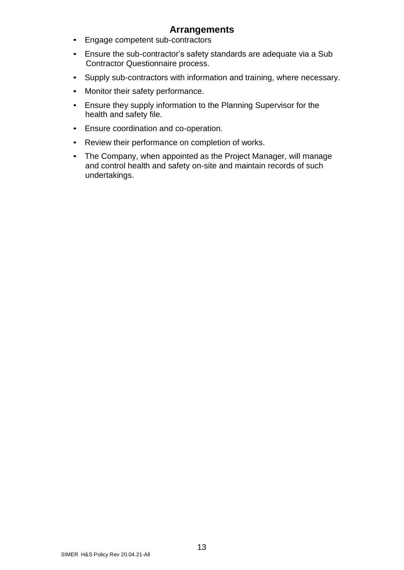- Engage competent sub-contractors
- Ensure the sub-contractor's safety standards are adequate via a Sub Contractor Questionnaire process.
- Supply sub-contractors with information and training, where necessary.
- Monitor their safety performance.
- Ensure they supply information to the Planning Supervisor for the health and safety file.
- Ensure coordination and co-operation.
- Review their performance on completion of works.
- The Company, when appointed as the Project Manager, will manage and control health and safety on-site and maintain records of such undertakings.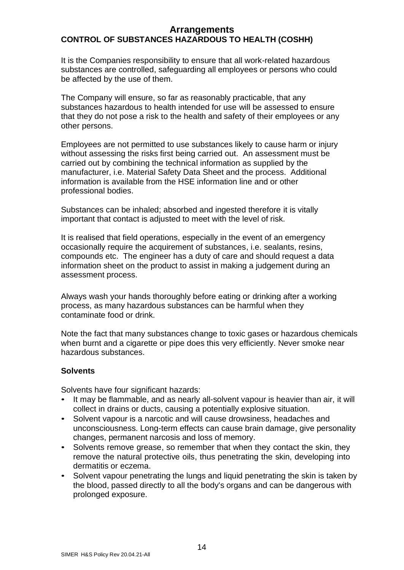### **Arrangements CONTROL OF SUBSTANCES HAZARDOUS TO HEALTH (COSHH)**

It is the Companies responsibility to ensure that all work-related hazardous substances are controlled, safeguarding all employees or persons who could be affected by the use of them.

The Company will ensure, so far as reasonably practicable, that any substances hazardous to health intended for use will be assessed to ensure that they do not pose a risk to the health and safety of their employees or any other persons.

Employees are not permitted to use substances likely to cause harm or injury without assessing the risks first being carried out. An assessment must be carried out by combining the technical information as supplied by the manufacturer, i.e. Material Safety Data Sheet and the process. Additional information is available from the HSE information line and or other professional bodies.

Substances can be inhaled; absorbed and ingested therefore it is vitally important that contact is adjusted to meet with the level of risk.

It is realised that field operations, especially in the event of an emergency occasionally require the acquirement of substances, i.e. sealants, resins, compounds etc. The engineer has a duty of care and should request a data information sheet on the product to assist in making a judgement during an assessment process.

Always wash your hands thoroughly before eating or drinking after a working process, as many hazardous substances can be harmful when they contaminate food or drink.

Note the fact that many substances change to toxic gases or hazardous chemicals when burnt and a cigarette or pipe does this very efficiently. Never smoke near hazardous substances.

### **Solvents**

Solvents have four significant hazards:

- It may be flammable, and as nearly all-solvent vapour is heavier than air, it will collect in drains or ducts, causing a potentially explosive situation.
- Solvent vapour is a narcotic and will cause drowsiness, headaches and unconsciousness. Long-term effects can cause brain damage, give personality changes, permanent narcosis and loss of memory.
- Solvents remove grease, so remember that when they contact the skin, they remove the natural protective oils, thus penetrating the skin, developing into dermatitis or eczema.
- Solvent vapour penetrating the lungs and liquid penetrating the skin is taken by the blood, passed directly to all the body's organs and can be dangerous with prolonged exposure.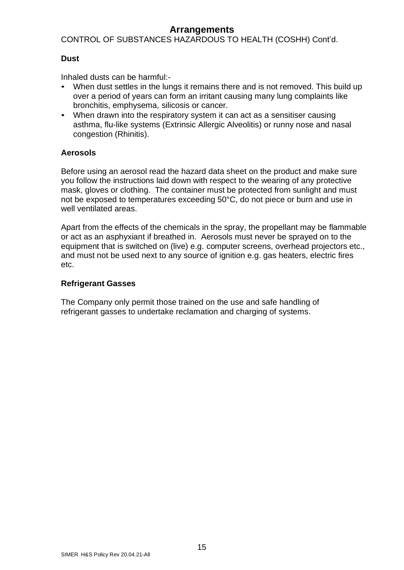CONTROL OF SUBSTANCES HAZARDOUS TO HEALTH (COSHH) Cont'd.

### **Dust**

Inhaled dusts can be harmful:-

- When dust settles in the lungs it remains there and is not removed. This build up over a period of years can form an irritant causing many lung complaints like bronchitis, emphysema, silicosis or cancer.
- When drawn into the respiratory system it can act as a sensitiser causing asthma, flu-like systems (Extrinsic Allergic Alveolitis) or runny nose and nasal congestion (Rhinitis).

### **Aerosols**

Before using an aerosol read the hazard data sheet on the product and make sure you follow the instructions laid down with respect to the wearing of any protective mask, gloves or clothing. The container must be protected from sunlight and must not be exposed to temperatures exceeding 50°C, do not piece or burn and use in well ventilated areas.

Apart from the effects of the chemicals in the spray, the propellant may be flammable or act as an asphyxiant if breathed in. Aerosols must never be sprayed on to the equipment that is switched on (live) e.g. computer screens, overhead projectors etc., and must not be used next to any source of ignition e.g. gas heaters, electric fires etc.

#### **Refrigerant Gasses**

The Company only permit those trained on the use and safe handling of refrigerant gasses to undertake reclamation and charging of systems.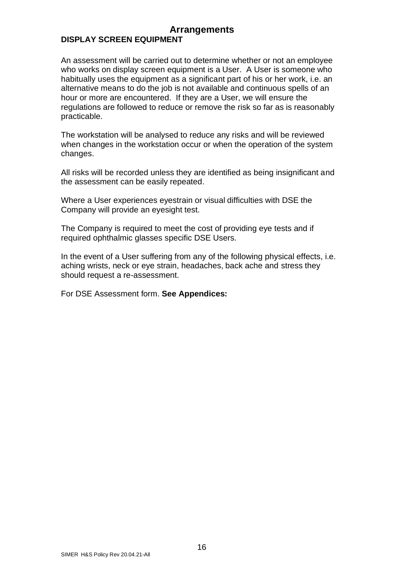### **Arrangements DISPLAY SCREEN EQUIPMENT**

An assessment will be carried out to determine whether or not an employee who works on display screen equipment is a User. A User is someone who habitually uses the equipment as a significant part of his or her work, i.e. an alternative means to do the job is not available and continuous spells of an hour or more are encountered. If they are a User, we will ensure the regulations are followed to reduce or remove the risk so far as is reasonably practicable.

The workstation will be analysed to reduce any risks and will be reviewed when changes in the workstation occur or when the operation of the system changes.

All risks will be recorded unless they are identified as being insignificant and the assessment can be easily repeated.

Where a User experiences eyestrain or visual difficulties with DSE the Company will provide an eyesight test.

The Company is required to meet the cost of providing eye tests and if required ophthalmic glasses specific DSE Users.

In the event of a User suffering from any of the following physical effects, i.e. aching wrists, neck or eye strain, headaches, back ache and stress they should request a re-assessment.

For DSE Assessment form. **See Appendices:**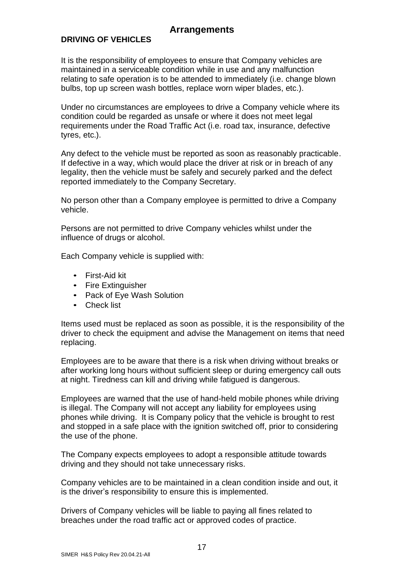### **DRIVING OF VEHICLES**

It is the responsibility of employees to ensure that Company vehicles are maintained in a serviceable condition while in use and any malfunction relating to safe operation is to be attended to immediately (i.e. change blown bulbs, top up screen wash bottles, replace worn wiper blades, etc.).

Under no circumstances are employees to drive a Company vehicle where its condition could be regarded as unsafe or where it does not meet legal requirements under the Road Traffic Act (i.e. road tax, insurance, defective tyres, etc.).

Any defect to the vehicle must be reported as soon as reasonably practicable. If defective in a way, which would place the driver at risk or in breach of any legality, then the vehicle must be safely and securely parked and the defect reported immediately to the Company Secretary.

No person other than a Company employee is permitted to drive a Company vehicle.

Persons are not permitted to drive Company vehicles whilst under the influence of drugs or alcohol.

Each Company vehicle is supplied with:

- First-Aid kit
- Fire Extinguisher
- Pack of Eye Wash Solution
- Check list

Items used must be replaced as soon as possible, it is the responsibility of the driver to check the equipment and advise the Management on items that need replacing.

Employees are to be aware that there is a risk when driving without breaks or after working long hours without sufficient sleep or during emergency call outs at night. Tiredness can kill and driving while fatigued is dangerous.

Employees are warned that the use of hand-held mobile phones while driving is illegal. The Company will not accept any liability for employees using phones while driving. It is Company policy that the vehicle is brought to rest and stopped in a safe place with the ignition switched off, prior to considering the use of the phone.

The Company expects employees to adopt a responsible attitude towards driving and they should not take unnecessary risks.

Company vehicles are to be maintained in a clean condition inside and out, it is the driver's responsibility to ensure this is implemented.

Drivers of Company vehicles will be liable to paying all fines related to breaches under the road traffic act or approved codes of practice.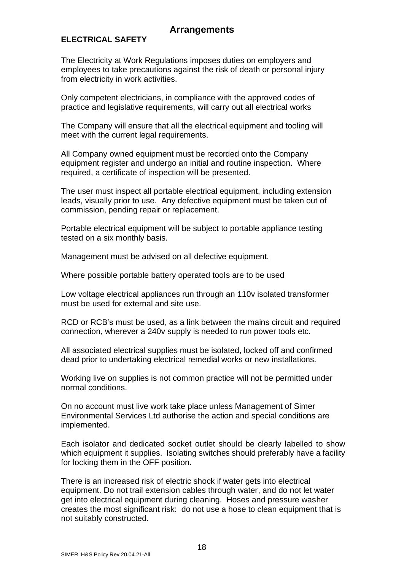### **ELECTRICAL SAFETY**

The Electricity at Work Regulations imposes duties on employers and employees to take precautions against the risk of death or personal injury from electricity in work activities.

Only competent electricians, in compliance with the approved codes of practice and legislative requirements, will carry out all electrical works

The Company will ensure that all the electrical equipment and tooling will meet with the current legal requirements.

All Company owned equipment must be recorded onto the Company equipment register and undergo an initial and routine inspection. Where required, a certificate of inspection will be presented.

The user must inspect all portable electrical equipment, including extension leads, visually prior to use. Any defective equipment must be taken out of commission, pending repair or replacement.

Portable electrical equipment will be subject to portable appliance testing tested on a six monthly basis.

Management must be advised on all defective equipment.

Where possible portable battery operated tools are to be used

Low voltage electrical appliances run through an 110v isolated transformer must be used for external and site use.

RCD or RCB's must be used, as a link between the mains circuit and required connection, wherever a 240v supply is needed to run power tools etc.

All associated electrical supplies must be isolated, locked off and confirmed dead prior to undertaking electrical remedial works or new installations.

Working live on supplies is not common practice will not be permitted under normal conditions.

On no account must live work take place unless Management of Simer Environmental Services Ltd authorise the action and special conditions are implemented.

Each isolator and dedicated socket outlet should be clearly labelled to show which equipment it supplies. Isolating switches should preferably have a facility for locking them in the OFF position.

There is an increased risk of electric shock if water gets into electrical equipment. Do not trail extension cables through water, and do not let water get into electrical equipment during cleaning. Hoses and pressure washer creates the most significant risk: do not use a hose to clean equipment that is not suitably constructed.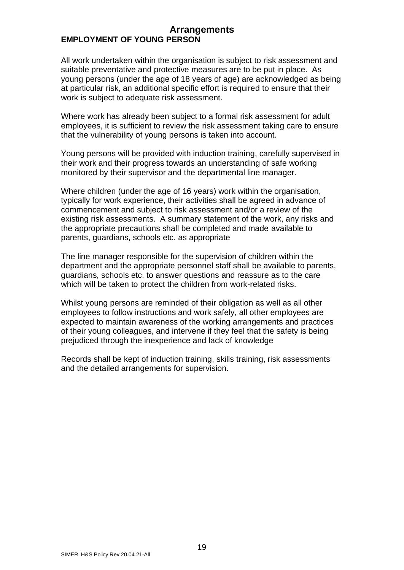### **Arrangements EMPLOYMENT OF YOUNG PERSON**

All work undertaken within the organisation is subject to risk assessment and suitable preventative and protective measures are to be put in place. As young persons (under the age of 18 years of age) are acknowledged as being at particular risk, an additional specific effort is required to ensure that their work is subject to adequate risk assessment.

Where work has already been subject to a formal risk assessment for adult employees, it is sufficient to review the risk assessment taking care to ensure that the vulnerability of young persons is taken into account.

Young persons will be provided with induction training, carefully supervised in their work and their progress towards an understanding of safe working monitored by their supervisor and the departmental line manager.

Where children (under the age of 16 years) work within the organisation, typically for work experience, their activities shall be agreed in advance of commencement and subject to risk assessment and/or a review of the existing risk assessments. A summary statement of the work, any risks and the appropriate precautions shall be completed and made available to parents, guardians, schools etc. as appropriate

The line manager responsible for the supervision of children within the department and the appropriate personnel staff shall be available to parents, guardians, schools etc. to answer questions and reassure as to the care which will be taken to protect the children from work-related risks.

Whilst young persons are reminded of their obligation as well as all other employees to follow instructions and work safely, all other employees are expected to maintain awareness of the working arrangements and practices of their young colleagues, and intervene if they feel that the safety is being prejudiced through the inexperience and lack of knowledge

Records shall be kept of induction training, skills training, risk assessments and the detailed arrangements for supervision.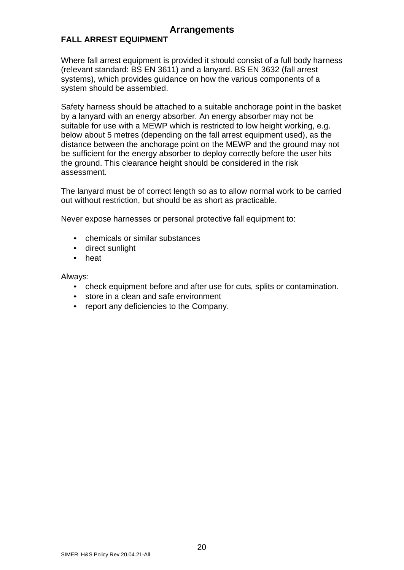### **FALL ARREST EQUIPMENT**

Where fall arrest equipment is provided it should consist of a full body harness (relevant standard: BS EN 3611) and a lanyard. BS EN 3632 (fall arrest systems), which provides guidance on how the various components of a system should be assembled.

Safety harness should be attached to a suitable anchorage point in the basket by a lanyard with an energy absorber. An energy absorber may not be suitable for use with a MEWP which is restricted to low height working, e.g. below about 5 metres (depending on the fall arrest equipment used), as the distance between the anchorage point on the MEWP and the ground may not be sufficient for the energy absorber to deploy correctly before the user hits the ground. This clearance height should be considered in the risk assessment.

The lanyard must be of correct length so as to allow normal work to be carried out without restriction, but should be as short as practicable.

Never expose harnesses or personal protective fall equipment to:

- chemicals or similar substances
- direct sunlight
- heat

Always:

- check equipment before and after use for cuts, splits or contamination.
- store in a clean and safe environment
- report any deficiencies to the Company.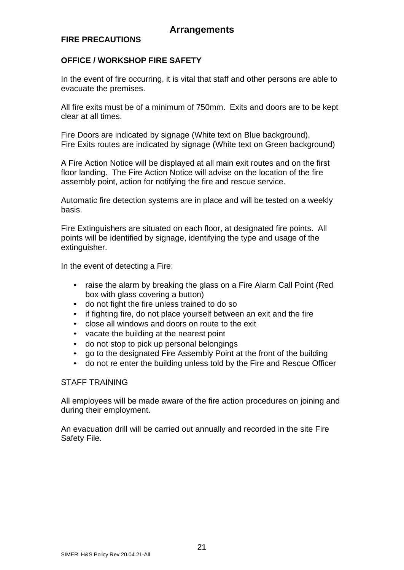### **FIRE PRECAUTIONS**

### **OFFICE / WORKSHOP FIRE SAFETY**

In the event of fire occurring, it is vital that staff and other persons are able to evacuate the premises.

All fire exits must be of a minimum of 750mm. Exits and doors are to be kept clear at all times.

Fire Doors are indicated by signage (White text on Blue background). Fire Exits routes are indicated by signage (White text on Green background)

A Fire Action Notice will be displayed at all main exit routes and on the first floor landing. The Fire Action Notice will advise on the location of the fire assembly point, action for notifying the fire and rescue service.

Automatic fire detection systems are in place and will be tested on a weekly basis.

Fire Extinguishers are situated on each floor, at designated fire points. All points will be identified by signage, identifying the type and usage of the extinguisher.

In the event of detecting a Fire:

- raise the alarm by breaking the glass on a Fire Alarm Call Point (Red box with glass covering a button)
- do not fight the fire unless trained to do so
- if fighting fire, do not place yourself between an exit and the fire
- close all windows and doors on route to the exit
- vacate the building at the nearest point
- do not stop to pick up personal belongings
- go to the designated Fire Assembly Point at the front of the building
- do not re enter the building unless told by the Fire and Rescue Officer

#### STAFF TRAINING

All employees will be made aware of the fire action procedures on joining and during their employment.

An evacuation drill will be carried out annually and recorded in the site Fire Safety File.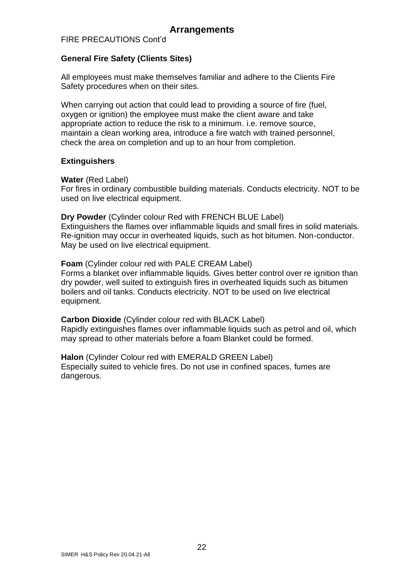FIRE PRECAUTIONS Cont'd

### **General Fire Safety (Clients Sites)**

All employees must make themselves familiar and adhere to the Clients Fire Safety procedures when on their sites.

When carrying out action that could lead to providing a source of fire (fuel, oxygen or ignition) the employee must make the client aware and take appropriate action to reduce the risk to a minimum. i.e. remove source, maintain a clean working area, introduce a fire watch with trained personnel, check the area on completion and up to an hour from completion.

### **Extinguishers**

**Water** (Red Label)

For fires in ordinary combustible building materials. Conducts electricity. NOT to be used on live electrical equipment.

**Dry Powder** (Cylinder colour Red with FRENCH BLUE Label) Extinguishers the flames over inflammable liquids and small fires in solid materials. Re-ignition may occur in overheated liquids, such as hot bitumen. Non-conductor. May be used on live electrical equipment.

**Foam** (Cylinder colour red with PALE CREAM Label)

Forms a blanket over inflammable liquids. Gives better control over re ignition than dry powder, well suited to extinguish fires in overheated liquids such as bitumen boilers and oil tanks. Conducts electricity. NOT to be used on live electrical equipment.

**Carbon Dioxide** (Cylinder colour red with BLACK Label) Rapidly extinguishes flames over inflammable liquids such as petrol and oil, which may spread to other materials before a foam Blanket could be formed.

**Halon** (Cylinder Colour red with EMERALD GREEN Label) Especially suited to vehicle fires. Do not use in confined spaces, fumes are dangerous.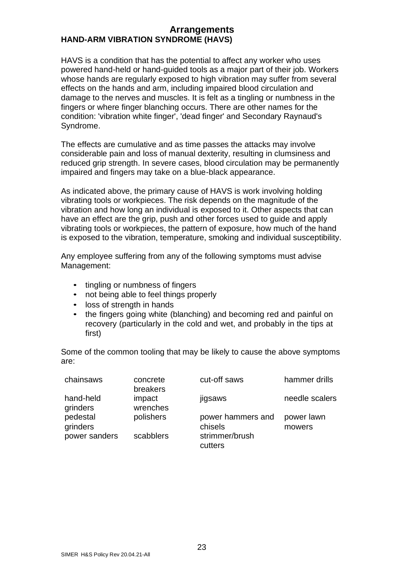### **Arrangements HAND-ARM VIBRATION SYNDROME (HAVS)**

HAVS is a condition that has the potential to affect any worker who uses powered hand-held or hand-guided tools as a major part of their job. Workers whose hands are regularly exposed to high vibration may suffer from several effects on the hands and arm, including impaired blood circulation and damage to the nerves and muscles. It is felt as a tingling or numbness in the fingers or where finger blanching occurs. There are other names for the condition: 'vibration white finger', 'dead finger' and Secondary Raynaud's Syndrome.

The effects are cumulative and as time passes the attacks may involve considerable pain and loss of manual dexterity, resulting in clumsiness and reduced grip strength. In severe cases, blood circulation may be permanently impaired and fingers may take on a blue-black appearance.

As indicated above, the primary cause of HAVS is work involving holding vibrating tools or workpieces. The risk depends on the magnitude of the vibration and how long an individual is exposed to it. Other aspects that can have an effect are the grip, push and other forces used to guide and apply vibrating tools or workpieces, the pattern of exposure, how much of the hand is exposed to the vibration, temperature, smoking and individual susceptibility.

Any employee suffering from any of the following symptoms must advise Management:

- tingling or numbness of fingers
- not being able to feel things properly
- loss of strength in hands
- the fingers going white (blanching) and becoming red and painful on recovery (particularly in the cold and wet, and probably in the tips at first)

Some of the common tooling that may be likely to cause the above symptoms are:

| chainsaws             | concrete<br>breakers | cut-off saws                 | hammer drills        |
|-----------------------|----------------------|------------------------------|----------------------|
| hand-held<br>grinders | impact<br>wrenches   | jigsaws                      | needle scalers       |
| pedestal<br>grinders  | polishers            | power hammers and<br>chisels | power lawn<br>mowers |
| power sanders         | scabblers            | strimmer/brush<br>cutters    |                      |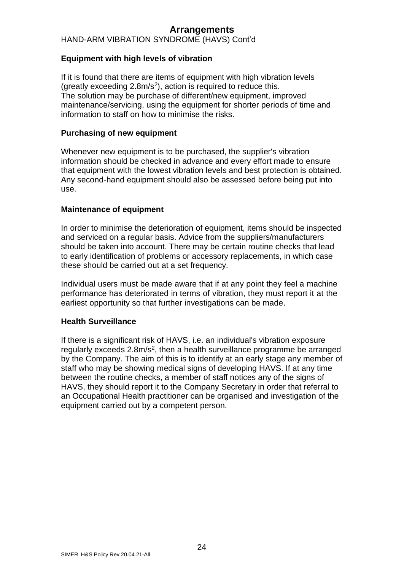HAND-ARM VIBRATION SYNDROME (HAVS) Cont'd

### **Equipment with high levels of vibration**

If it is found that there are items of equipment with high vibration levels (greatly exceeding  $2.8$ m/s<sup>2</sup>), action is required to reduce this. The solution may be purchase of different/new equipment, improved maintenance/servicing, using the equipment for shorter periods of time and information to staff on how to minimise the risks.

#### **Purchasing of new equipment**

Whenever new equipment is to be purchased, the supplier's vibration information should be checked in advance and every effort made to ensure that equipment with the lowest vibration levels and best protection is obtained. Any second-hand equipment should also be assessed before being put into use.

#### **Maintenance of equipment**

In order to minimise the deterioration of equipment, items should be inspected and serviced on a regular basis. Advice from the suppliers/manufacturers should be taken into account. There may be certain routine checks that lead to early identification of problems or accessory replacements, in which case these should be carried out at a set frequency.

Individual users must be made aware that if at any point they feel a machine performance has deteriorated in terms of vibration, they must report it at the earliest opportunity so that further investigations can be made.

#### **Health Surveillance**

If there is a significant risk of HAVS, i.e. an individual's vibration exposure regularly exceeds 2.8m/s<sup>2</sup>, then a health surveillance programme be arranged by the Company. The aim of this is to identify at an early stage any member of staff who may be showing medical signs of developing HAVS. If at any time between the routine checks, a member of staff notices any of the signs of HAVS, they should report it to the Company Secretary in order that referral to an Occupational Health practitioner can be organised and investigation of the equipment carried out by a competent person.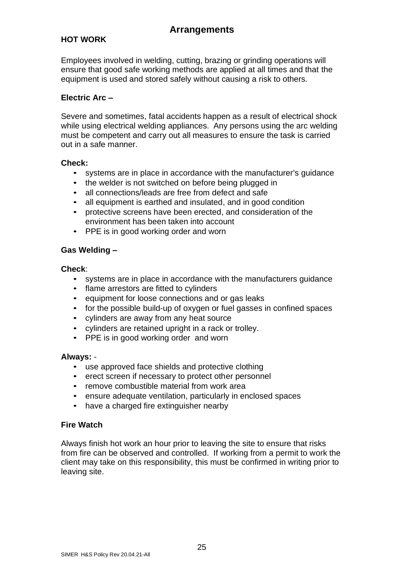### **HOT WORK**

Employees involved in welding, cutting, brazing or grinding operations will ensure that good safe working methods are applied at all times and that the equipment is used and stored safely without causing a risk to others.

#### **Electric Arc –**

Severe and sometimes, fatal accidents happen as a result of electrical shock while using electrical welding appliances. Any persons using the arc welding must be competent and carry out all measures to ensure the task is carried out in a safe manner.

#### **Check:**

- systems are in place in accordance with the manufacturer's guidance
- the welder is not switched on before being plugged in
- all connections/leads are free from defect and safe
- all equipment is earthed and insulated, and in good condition
- protective screens have been erected, and consideration of the environment has been taken into account
- PPE is in good working order and worn

### **Gas Welding –**

#### **Check**:

- systems are in place in accordance with the manufacturers guidance
- flame arrestors are fitted to cylinders
- equipment for loose connections and or gas leaks
- for the possible build-up of oxygen or fuel gasses in confined spaces
- cylinders are away from any heat source
- cylinders are retained upright in a rack or trolley.
- PPE is in good working order and worn

#### **Always:** -

- use approved face shields and protective clothing
- erect screen if necessary to protect other personnel
- remove combustible material from work area
- ensure adequate ventilation, particularly in enclosed spaces
- have a charged fire extinguisher nearby

### **Fire Watch**

Always finish hot work an hour prior to leaving the site to ensure that risks from fire can be observed and controlled. If working from a permit to work the client may take on this responsibility, this must be confirmed in writing prior to leaving site.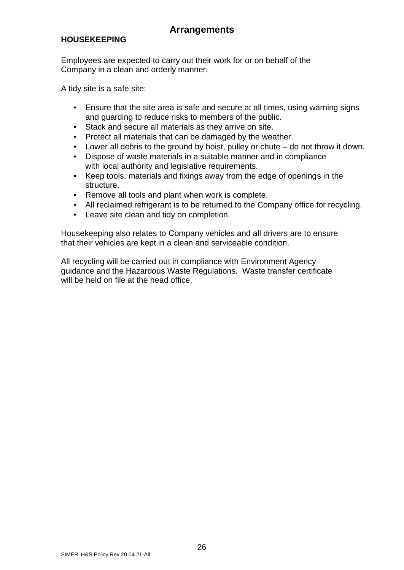### **HOUSEKEEPING**

Employees are expected to carry out their work for or on behalf of the Company in a clean and orderly manner.

A tidy site is a safe site:

- Ensure that the site area is safe and secure at all times, using warning signs and guarding to reduce risks to members of the public.
- Stack and secure all materials as they arrive on site.
- Protect all materials that can be damaged by the weather.
- Lower all debris to the ground by hoist, pulley or chute do not throw it down.
- Dispose of waste materials in a suitable manner and in compliance with local authority and legislative requirements.
- Keep tools, materials and fixings away from the edge of openings in the structure.
- Remove all tools and plant when work is complete.
- All reclaimed refrigerant is to be returned to the Company office for recycling.
- Leave site clean and tidy on completion.

Housekeeping also relates to Company vehicles and all drivers are to ensure that their vehicles are kept in a clean and serviceable condition.

All recycling will be carried out in compliance with Environment Agency guidance and the Hazardous Waste Regulations. Waste transfer certificate will be held on file at the head office.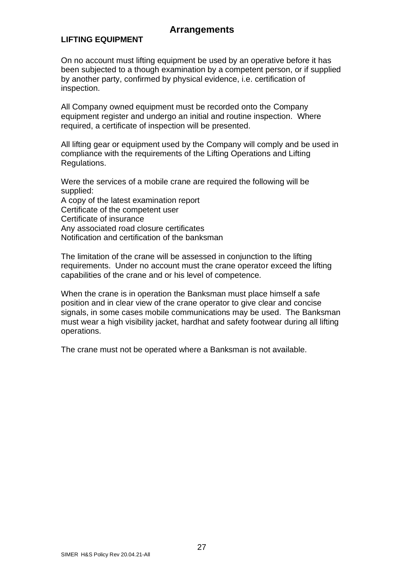### **LIFTING EQUIPMENT**

On no account must lifting equipment be used by an operative before it has been subjected to a though examination by a competent person, or if supplied by another party, confirmed by physical evidence, i.e. certification of inspection.

All Company owned equipment must be recorded onto the Company equipment register and undergo an initial and routine inspection. Where required, a certificate of inspection will be presented.

All lifting gear or equipment used by the Company will comply and be used in compliance with the requirements of the Lifting Operations and Lifting Regulations.

Were the services of a mobile crane are required the following will be supplied:

A copy of the latest examination report Certificate of the competent user Certificate of insurance Any associated road closure certificates Notification and certification of the banksman

The limitation of the crane will be assessed in conjunction to the lifting requirements. Under no account must the crane operator exceed the lifting capabilities of the crane and or his level of competence.

When the crane is in operation the Banksman must place himself a safe position and in clear view of the crane operator to give clear and concise signals, in some cases mobile communications may be used. The Banksman must wear a high visibility jacket, hardhat and safety footwear during all lifting operations.

The crane must not be operated where a Banksman is not available.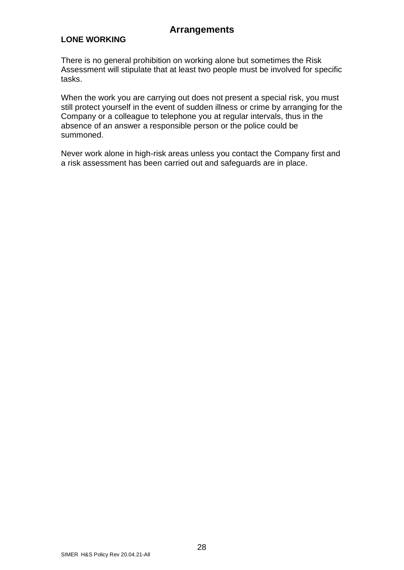### **LONE WORKING**

There is no general prohibition on working alone but sometimes the Risk Assessment will stipulate that at least two people must be involved for specific tasks.

When the work you are carrying out does not present a special risk, you must still protect yourself in the event of sudden illness or crime by arranging for the Company or a colleague to telephone you at regular intervals, thus in the absence of an answer a responsible person or the police could be summoned.

Never work alone in high-risk areas unless you contact the Company first and a risk assessment has been carried out and safeguards are in place.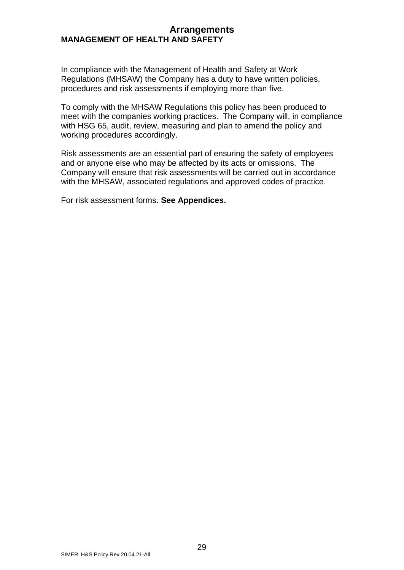### **Arrangements MANAGEMENT OF HEALTH AND SAFETY**

In compliance with the Management of Health and Safety at Work Regulations (MHSAW) the Company has a duty to have written policies, procedures and risk assessments if employing more than five.

To comply with the MHSAW Regulations this policy has been produced to meet with the companies working practices. The Company will, in compliance with HSG 65, audit, review, measuring and plan to amend the policy and working procedures accordingly.

Risk assessments are an essential part of ensuring the safety of employees and or anyone else who may be affected by its acts or omissions. The Company will ensure that risk assessments will be carried out in accordance with the MHSAW, associated regulations and approved codes of practice.

For risk assessment forms. **See Appendices.**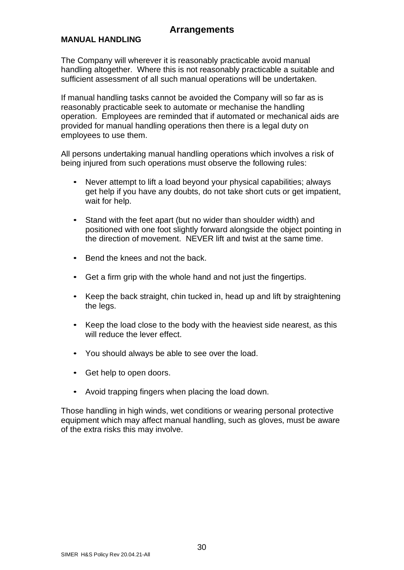#### **MANUAL HANDLING**

The Company will wherever it is reasonably practicable avoid manual handling altogether. Where this is not reasonably practicable a suitable and sufficient assessment of all such manual operations will be undertaken.

If manual handling tasks cannot be avoided the Company will so far as is reasonably practicable seek to automate or mechanise the handling operation. Employees are reminded that if automated or mechanical aids are provided for manual handling operations then there is a legal duty on employees to use them.

All persons undertaking manual handling operations which involves a risk of being injured from such operations must observe the following rules:

- Never attempt to lift a load beyond your physical capabilities; always get help if you have any doubts, do not take short cuts or get impatient, wait for help.
- Stand with the feet apart (but no wider than shoulder width) and positioned with one foot slightly forward alongside the object pointing in the direction of movement. NEVER lift and twist at the same time.
- Bend the knees and not the back.
- Get a firm grip with the whole hand and not just the fingertips.
- Keep the back straight, chin tucked in, head up and lift by straightening the legs.
- Keep the load close to the body with the heaviest side nearest, as this will reduce the lever effect.
- You should always be able to see over the load.
- Get help to open doors.
- Avoid trapping fingers when placing the load down.

Those handling in high winds, wet conditions or wearing personal protective equipment which may affect manual handling, such as gloves, must be aware of the extra risks this may involve.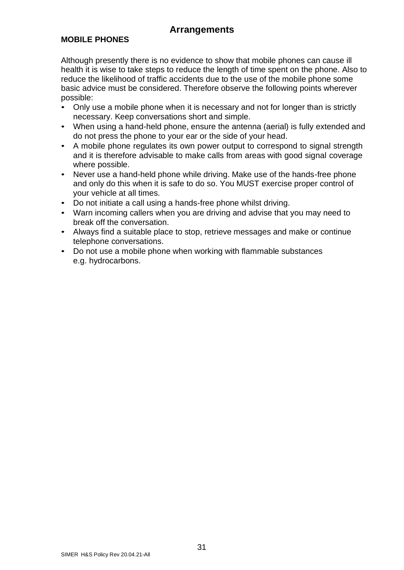### **MOBILE PHONES**

Although presently there is no evidence to show that mobile phones can cause ill health it is wise to take steps to reduce the length of time spent on the phone. Also to reduce the likelihood of traffic accidents due to the use of the mobile phone some basic advice must be considered. Therefore observe the following points wherever possible:

- Only use a mobile phone when it is necessary and not for longer than is strictly necessary. Keep conversations short and simple.
- When using a hand-held phone, ensure the antenna (aerial) is fully extended and do not press the phone to your ear or the side of your head.
- A mobile phone regulates its own power output to correspond to signal strength and it is therefore advisable to make calls from areas with good signal coverage where possible.
- Never use a hand-held phone while driving. Make use of the hands-free phone and only do this when it is safe to do so. You MUST exercise proper control of your vehicle at all times.
- Do not initiate a call using a hands-free phone whilst driving.
- Warn incoming callers when you are driving and advise that you may need to break off the conversation.
- Always find a suitable place to stop, retrieve messages and make or continue telephone conversations.
- Do not use a mobile phone when working with flammable substances e.g. hydrocarbons.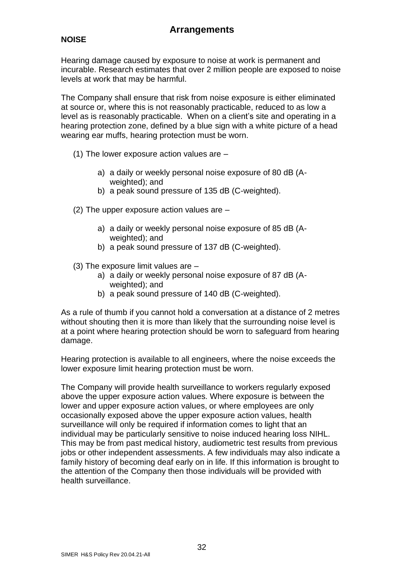### **NOISE**

Hearing damage caused by exposure to noise at work is permanent and incurable. Research estimates that over 2 million people are exposed to noise levels at work that may be harmful.

The Company shall ensure that risk from noise exposure is either eliminated at source or, where this is not reasonably practicable, reduced to as low a level as is reasonably practicable. When on a client's site and operating in a hearing protection zone, defined by a blue sign with a white picture of a head wearing ear muffs, hearing protection must be worn.

- (1) The lower exposure action values are
	- a) a daily or weekly personal noise exposure of 80 dB (Aweighted); and
	- b) a peak sound pressure of 135 dB (C-weighted).
- (2) The upper exposure action values are
	- a) a daily or weekly personal noise exposure of 85 dB (Aweighted); and
	- b) a peak sound pressure of 137 dB (C-weighted).
- (3) The exposure limit values are
	- a) a daily or weekly personal noise exposure of 87 dB (Aweighted); and
	- b) a peak sound pressure of 140 dB (C-weighted).

As a rule of thumb if you cannot hold a conversation at a distance of 2 metres without shouting then it is more than likely that the surrounding noise level is at a point where hearing protection should be worn to safeguard from hearing damage.

Hearing protection is available to all engineers, where the noise exceeds the lower exposure limit hearing protection must be worn.

The Company will provide health surveillance to workers regularly exposed above the upper exposure action values. Where exposure is between the lower and upper exposure action values, or where employees are only occasionally exposed above the upper exposure action values, health surveillance will only be required if information comes to light that an individual may be particularly sensitive to noise induced hearing loss NIHL. This may be from past medical history, audiometric test results from previous jobs or other independent assessments. A few individuals may also indicate a family history of becoming deaf early on in life. If this information is brought to the attention of the Company then those individuals will be provided with health surveillance.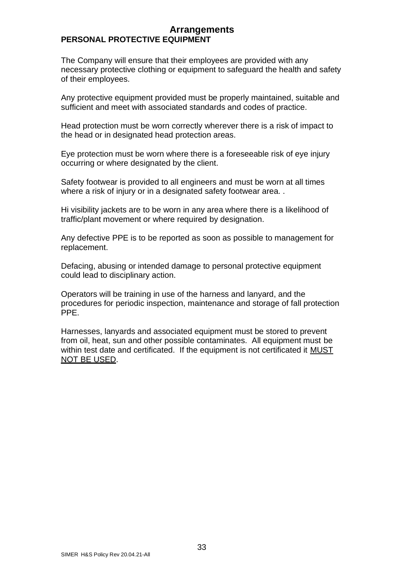### **Arrangements PERSONAL PROTECTIVE EQUIPMENT**

The Company will ensure that their employees are provided with any necessary protective clothing or equipment to safeguard the health and safety of their employees.

Any protective equipment provided must be properly maintained, suitable and sufficient and meet with associated standards and codes of practice.

Head protection must be worn correctly wherever there is a risk of impact to the head or in designated head protection areas.

Eye protection must be worn where there is a foreseeable risk of eye injury occurring or where designated by the client.

Safety footwear is provided to all engineers and must be worn at all times where a risk of injury or in a designated safety footwear area. .

Hi visibility jackets are to be worn in any area where there is a likelihood of traffic/plant movement or where required by designation.

Any defective PPE is to be reported as soon as possible to management for replacement.

Defacing, abusing or intended damage to personal protective equipment could lead to disciplinary action.

Operators will be training in use of the harness and lanyard, and the procedures for periodic inspection, maintenance and storage of fall protection PPE.

Harnesses, lanyards and associated equipment must be stored to prevent from oil, heat, sun and other possible contaminates. All equipment must be within test date and certificated. If the equipment is not certificated it **MUST** NOT BE USED.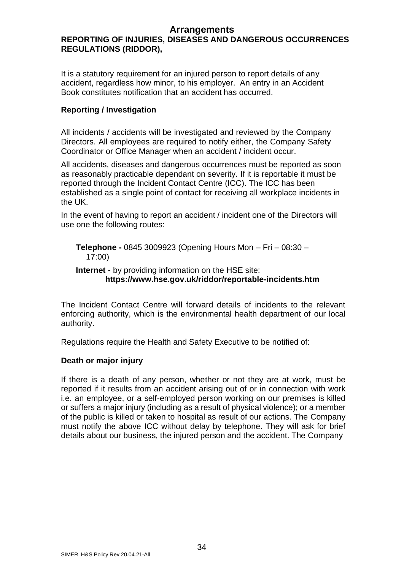### **REPORTING OF INJURIES, DISEASES AND DANGEROUS OCCURRENCES REGULATIONS (RIDDOR),**

It is a statutory requirement for an injured person to report details of any accident, regardless how minor, to his employer. An entry in an Accident Book constitutes notification that an accident has occurred.

### **Reporting / Investigation**

All incidents / accidents will be investigated and reviewed by the Company Directors. All employees are required to notify either, the Company Safety Coordinator or Office Manager when an accident / incident occur.

All accidents, diseases and dangerous occurrences must be reported as soon as reasonably practicable dependant on severity. If it is reportable it must be reported through the Incident Contact Centre (ICC). The ICC has been established as a single point of contact for receiving all workplace incidents in the UK.

In the event of having to report an accident / incident one of the Directors will use one the following routes:

**Telephone -** 0845 3009923 (Opening Hours Mon – Fri – 08:30 – 17:00)

### **Internet -** by providing information on the HSE site:  **https://www.hse.gov.uk/riddor/reportable-incidents.htm**

The Incident Contact Centre will forward details of incidents to the relevant enforcing authority, which is the environmental health department of our local authority.

Regulations require the Health and Safety Executive to be notified of:

### **Death or major injury**

If there is a death of any person, whether or not they are at work, must be reported if it results from an accident arising out of or in connection with work i.e. an employee, or a self-employed person working on our premises is killed or suffers a major injury (including as a result of physical violence); or a member of the public is killed or taken to hospital as result of our actions. The Company must notify the above ICC without delay by telephone. They will ask for brief details about our business, the injured person and the accident. The Company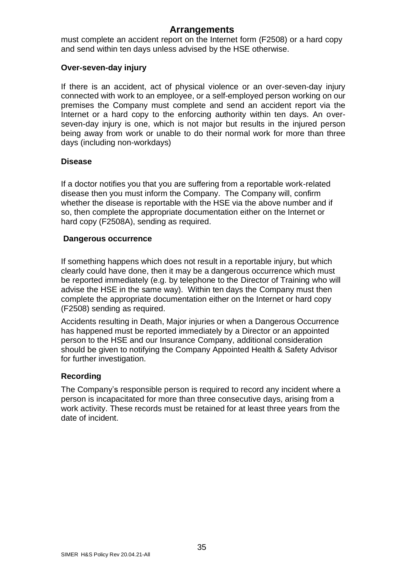must complete an accident report on the Internet form (F2508) or a hard copy and send within ten days unless advised by the HSE otherwise.

#### **Over-seven-day injury**

If there is an accident, act of physical violence or an over-seven-day injury connected with work to an employee, or a self-employed person working on our premises the Company must complete and send an accident report via the Internet or a hard copy to the enforcing authority within ten days. An overseven-day injury is one, which is not major but results in the injured person being away from work or unable to do their normal work for more than three days (including non-workdays)

### **Disease**

If a doctor notifies you that you are suffering from a reportable work-related disease then you must inform the Company. The Company will, confirm whether the disease is reportable with the HSE via the above number and if so, then complete the appropriate documentation either on the Internet or hard copy (F2508A), sending as required.

#### **Dangerous occurrence**

If something happens which does not result in a reportable injury, but which clearly could have done, then it may be a dangerous occurrence which must be reported immediately (e.g. by telephone to the Director of Training who will advise the HSE in the same way). Within ten days the Company must then complete the appropriate documentation either on the Internet or hard copy (F2508) sending as required.

Accidents resulting in Death, Major injuries or when a Dangerous Occurrence has happened must be reported immediately by a Director or an appointed person to the HSE and our Insurance Company, additional consideration should be given to notifying the Company Appointed Health & Safety Advisor for further investigation.

### **Recording**

The Company's responsible person is required to record any incident where a person is incapacitated for more than three consecutive days, arising from a work activity. These records must be retained for at least three years from the date of incident.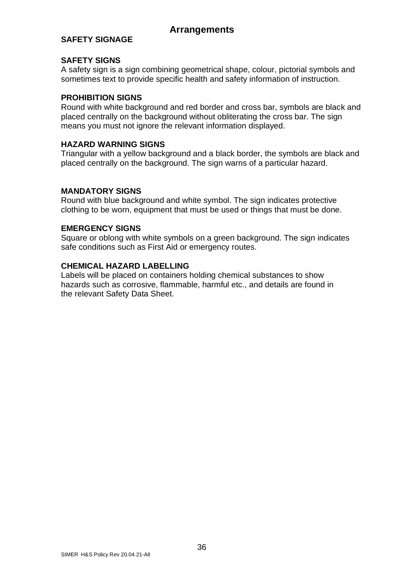### **SAFETY SIGNAGE**

### **SAFETY SIGNS**

A safety sign is a sign combining geometrical shape, colour, pictorial symbols and sometimes text to provide specific health and safety information of instruction.

### **PROHIBITION SIGNS**

Round with white background and red border and cross bar, symbols are black and placed centrally on the background without obliterating the cross bar. The sign means you must not ignore the relevant information displayed.

### **HAZARD WARNING SIGNS**

Triangular with a yellow background and a black border, the symbols are black and placed centrally on the background. The sign warns of a particular hazard.

### **MANDATORY SIGNS**

Round with blue background and white symbol. The sign indicates protective clothing to be worn, equipment that must be used or things that must be done.

### **EMERGENCY SIGNS**

Square or oblong with white symbols on a green background. The sign indicates safe conditions such as First Aid or emergency routes.

### **CHEMICAL HAZARD LABELLING**

Labels will be placed on containers holding chemical substances to show hazards such as corrosive, flammable, harmful etc., and details are found in the relevant Safety Data Sheet.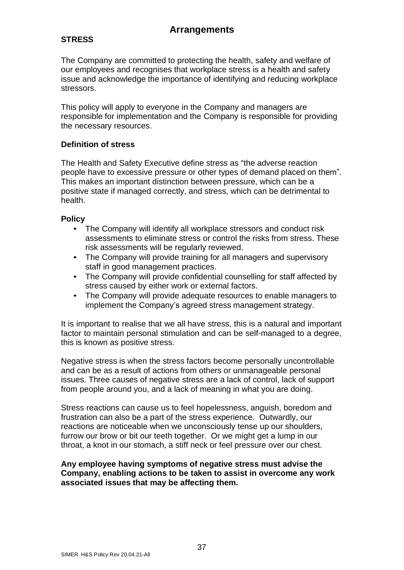### **STRESS**

The Company are committed to protecting the health, safety and welfare of our employees and recognises that workplace stress is a health and safety issue and acknowledge the importance of identifying and reducing workplace stressors.

This policy will apply to everyone in the Company and managers are responsible for implementation and the Company is responsible for providing the necessary resources.

### **Definition of stress**

The Health and Safety Executive define stress as "the adverse reaction people have to excessive pressure or other types of demand placed on them". This makes an important distinction between pressure, which can be a positive state if managed correctly, and stress, which can be detrimental to health.

### **Policy**

- The Company will identify all workplace stressors and conduct risk assessments to eliminate stress or control the risks from stress. These risk assessments will be regularly reviewed.
- The Company will provide training for all managers and supervisory staff in good management practices.
- The Company will provide confidential counselling for staff affected by stress caused by either work or external factors.
- The Company will provide adequate resources to enable managers to implement the Company's agreed stress management strategy.

It is important to realise that we all have stress, this is a natural and important factor to maintain personal stimulation and can be self-managed to a degree, this is known as positive stress.

Negative stress is when the stress factors become personally uncontrollable and can be as a result of actions from others or unmanageable personal issues. Three causes of negative stress are a lack of control, lack of support from people around you, and a lack of meaning in what you are doing.

Stress reactions can cause us to feel hopelessness, anguish, boredom and frustration can also be a part of the stress experience. Outwardly, our reactions are noticeable when we unconsciously tense up our shoulders, furrow our brow or bit our teeth together. Or we might get a lump in our throat, a knot in our stomach, a stiff neck or feel pressure over our chest.

### **Any employee having symptoms of negative stress must advise the Company, enabling actions to be taken to assist in overcome any work associated issues that may be affecting them.**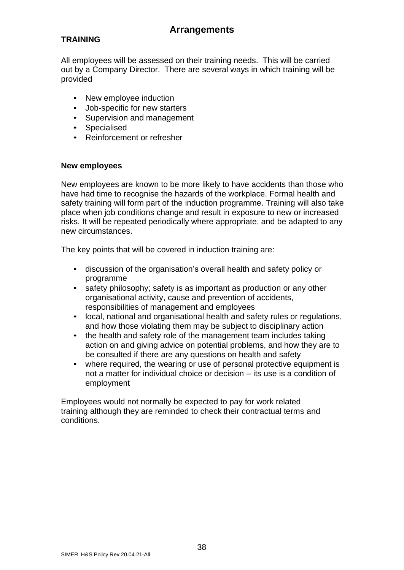### **TRAINING**

All employees will be assessed on their training needs. This will be carried out by a Company Director. There are several ways in which training will be provided

- New employee induction
- Job-specific for new starters
- Supervision and management
- Specialised
- Reinforcement or refresher

### **New employees**

New employees are known to be more likely to have accidents than those who have had time to recognise the hazards of the workplace. Formal health and safety training will form part of the induction programme. Training will also take place when job conditions change and result in exposure to new or increased risks. It will be repeated periodically where appropriate, and be adapted to any new circumstances.

The key points that will be covered in induction training are:

- discussion of the organisation's overall health and safety policy or programme
- safety philosophy; safety is as important as production or any other organisational activity, cause and prevention of accidents, responsibilities of management and employees
- local, national and organisational health and safety rules or regulations, and how those violating them may be subject to disciplinary action
- the health and safety role of the management team includes taking action on and giving advice on potential problems, and how they are to be consulted if there are any questions on health and safety
- where required, the wearing or use of personal protective equipment is not a matter for individual choice or decision – its use is a condition of employment

Employees would not normally be expected to pay for work related training although they are reminded to check their contractual terms and conditions.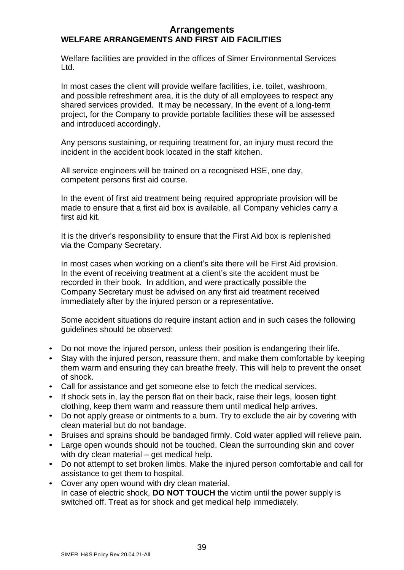### **Arrangements WELFARE ARRANGEMENTS AND FIRST AID FACILITIES**

Welfare facilities are provided in the offices of Simer Environmental Services Ltd.

In most cases the client will provide welfare facilities, i.e. toilet, washroom, and possible refreshment area, it is the duty of all employees to respect any shared services provided. It may be necessary, In the event of a long-term project, for the Company to provide portable facilities these will be assessed and introduced accordingly.

Any persons sustaining, or requiring treatment for, an injury must record the incident in the accident book located in the staff kitchen.

All service engineers will be trained on a recognised HSE, one day, competent persons first aid course.

In the event of first aid treatment being required appropriate provision will be made to ensure that a first aid box is available, all Company vehicles carry a first aid kit.

It is the driver's responsibility to ensure that the First Aid box is replenished via the Company Secretary.

In most cases when working on a client's site there will be First Aid provision. In the event of receiving treatment at a client's site the accident must be recorded in their book. In addition, and were practically possible the Company Secretary must be advised on any first aid treatment received immediately after by the injured person or a representative.

Some accident situations do require instant action and in such cases the following guidelines should be observed:

- Do not move the injured person, unless their position is endangering their life.
- Stay with the injured person, reassure them, and make them comfortable by keeping them warm and ensuring they can breathe freely. This will help to prevent the onset of shock.
- Call for assistance and get someone else to fetch the medical services.
- If shock sets in, lay the person flat on their back, raise their legs, loosen tight clothing, keep them warm and reassure them until medical help arrives.
- Do not apply grease or ointments to a burn. Try to exclude the air by covering with clean material but do not bandage.
- Bruises and sprains should be bandaged firmly. Cold water applied will relieve pain.
- Large open wounds should not be touched. Clean the surrounding skin and cover with dry clean material – get medical help.
- Do not attempt to set broken limbs. Make the injured person comfortable and call for assistance to get them to hospital.
- Cover any open wound with dry clean material. In case of electric shock, **DO NOT TOUCH** the victim until the power supply is switched off. Treat as for shock and get medical help immediately.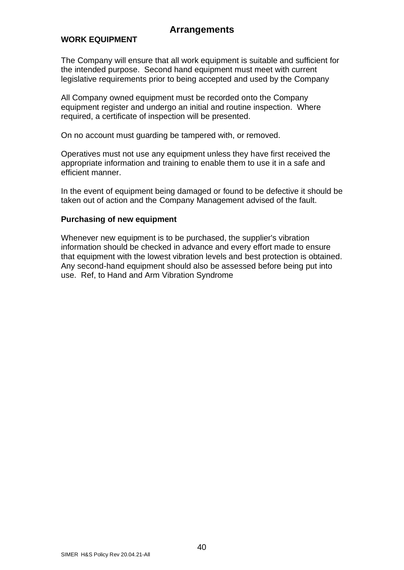#### **WORK EQUIPMENT**

The Company will ensure that all work equipment is suitable and sufficient for the intended purpose. Second hand equipment must meet with current legislative requirements prior to being accepted and used by the Company

All Company owned equipment must be recorded onto the Company equipment register and undergo an initial and routine inspection. Where required, a certificate of inspection will be presented.

On no account must guarding be tampered with, or removed.

Operatives must not use any equipment unless they have first received the appropriate information and training to enable them to use it in a safe and efficient manner.

In the event of equipment being damaged or found to be defective it should be taken out of action and the Company Management advised of the fault.

#### **Purchasing of new equipment**

Whenever new equipment is to be purchased, the supplier's vibration information should be checked in advance and every effort made to ensure that equipment with the lowest vibration levels and best protection is obtained. Any second-hand equipment should also be assessed before being put into use. Ref, to Hand and Arm Vibration Syndrome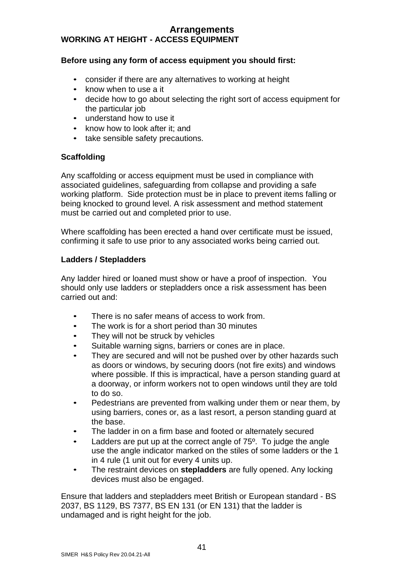### **Arrangements WORKING AT HEIGHT - ACCESS EQUIPMENT**

### **Before using any form of access equipment you should first:**

- consider if there are any alternatives to working at height
- know when to use a it
- decide how to go about selecting the right sort of access equipment for the particular job
- understand how to use it
- know how to look after it: and
- take sensible safety precautions.

### **Scaffolding**

Any scaffolding or access equipment must be used in compliance with associated guidelines, safeguarding from collapse and providing a safe working platform. Side protection must be in place to prevent items falling or being knocked to ground level. A risk assessment and method statement must be carried out and completed prior to use.

Where scaffolding has been erected a hand over certificate must be issued, confirming it safe to use prior to any associated works being carried out.

### **Ladders / Stepladders**

Any ladder hired or loaned must show or have a proof of inspection. You should only use ladders or stepladders once a risk assessment has been carried out and:

- There is no safer means of access to work from.
- The work is for a short period than 30 minutes
- They will not be struck by vehicles
- Suitable warning signs, barriers or cones are in place.
- They are secured and will not be pushed over by other hazards such as doors or windows, by securing doors (not fire exits) and windows where possible. If this is impractical, have a person standing guard at a doorway, or inform workers not to open windows until they are told to do so.
- Pedestrians are prevented from walking under them or near them, by using barriers, cones or, as a last resort, a person standing guard at the base.
- The ladder in on a firm base and footed or alternately secured
- Ladders are put up at the correct angle of  $75^\circ$ . To judge the angle use the angle indicator marked on the stiles of some ladders or the 1 in 4 rule (1 unit out for every 4 units up.
- The restraint devices on **stepladders** are fully opened. Any locking devices must also be engaged.

Ensure that ladders and stepladders meet British or European standard - BS 2037, BS 1129, BS 7377, BS EN 131 (or EN 131) that the ladder is undamaged and is right height for the job.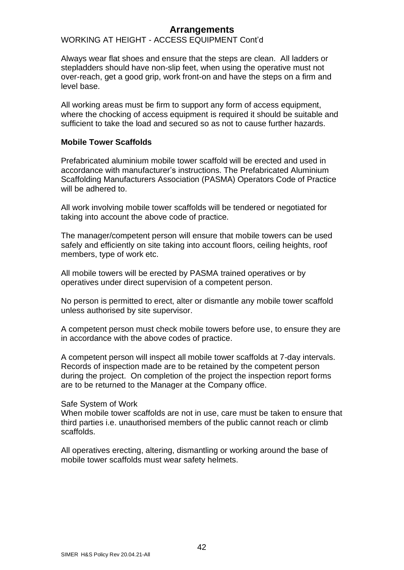### WORKING AT HEIGHT - ACCESS EQUIPMENT Cont'd

Always wear flat shoes and ensure that the steps are clean. All ladders or stepladders should have non-slip feet, when using the operative must not over-reach, get a good grip, work front-on and have the steps on a firm and level base.

All working areas must be firm to support any form of access equipment, where the chocking of access equipment is required it should be suitable and sufficient to take the load and secured so as not to cause further hazards.

#### **Mobile Tower Scaffolds**

Prefabricated aluminium mobile tower scaffold will be erected and used in accordance with manufacturer's instructions. The Prefabricated Aluminium Scaffolding Manufacturers Association (PASMA) Operators Code of Practice will be adhered to.

All work involving mobile tower scaffolds will be tendered or negotiated for taking into account the above code of practice.

The manager/competent person will ensure that mobile towers can be used safely and efficiently on site taking into account floors, ceiling heights, roof members, type of work etc.

All mobile towers will be erected by PASMA trained operatives or by operatives under direct supervision of a competent person.

No person is permitted to erect, alter or dismantle any mobile tower scaffold unless authorised by site supervisor.

A competent person must check mobile towers before use, to ensure they are in accordance with the above codes of practice.

A competent person will inspect all mobile tower scaffolds at 7-day intervals. Records of inspection made are to be retained by the competent person during the project. On completion of the project the inspection report forms are to be returned to the Manager at the Company office.

#### Safe System of Work

When mobile tower scaffolds are not in use, care must be taken to ensure that third parties i.e. unauthorised members of the public cannot reach or climb scaffolds.

All operatives erecting, altering, dismantling or working around the base of mobile tower scaffolds must wear safety helmets.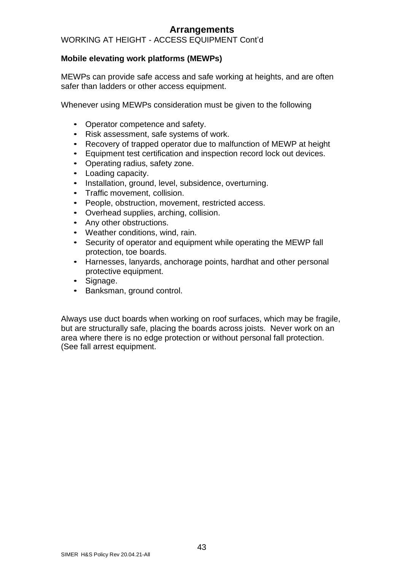### WORKING AT HEIGHT - ACCESS EQUIPMENT Cont'd

### **Mobile elevating work platforms (MEWPs)**

MEWPs can provide safe access and safe working at heights, and are often safer than ladders or other access equipment.

Whenever using MEWPs consideration must be given to the following

- Operator competence and safety.
- Risk assessment, safe systems of work.
- Recovery of trapped operator due to malfunction of MEWP at height
- Equipment test certification and inspection record lock out devices.
- Operating radius, safety zone.
- Loading capacity.
- Installation, ground, level, subsidence, overturning.
- Traffic movement, collision.
- People, obstruction, movement, restricted access.
- Overhead supplies, arching, collision.
- Any other obstructions.
- Weather conditions, wind, rain.
- Security of operator and equipment while operating the MEWP fall protection, toe boards.
- Harnesses, lanyards, anchorage points, hardhat and other personal protective equipment.
- Signage.
- Banksman, ground control.

Always use duct boards when working on roof surfaces, which may be fragile, but are structurally safe, placing the boards across joists. Never work on an area where there is no edge protection or without personal fall protection. (See fall arrest equipment.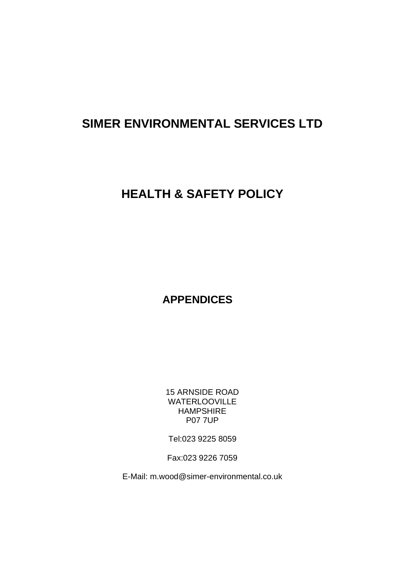# **SIMER ENVIRONMENTAL SERVICES LTD**

# **HEALTH & SAFETY POLICY**

**APPENDICES**

15 ARNSIDE ROAD WATERLOOVILLE HAMPSHIRE P07 7UP

Tel:023 9225 8059

Fax:023 9226 7059

E-Mail: [m.wood@simer-environmental.co.uk](mailto:m.wood@simer-environmental.co.uk)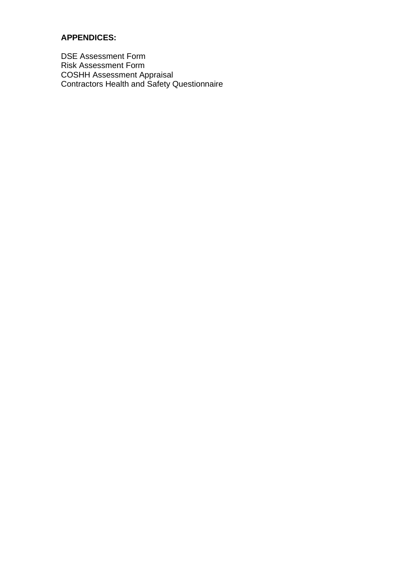### **APPENDICES:**

DSE Assessment Form Risk Assessment Form COSHH Assessment Appraisal Contractors Health and Safety Questionnaire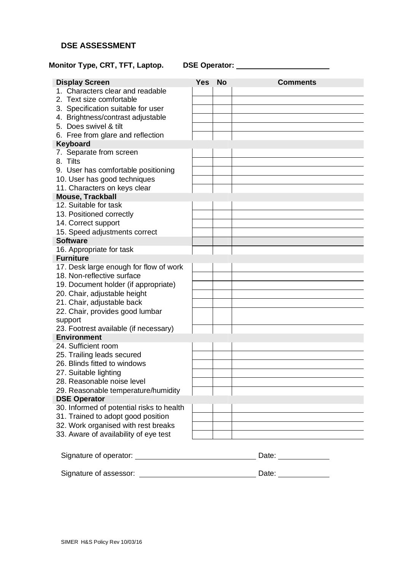### **DSE ASSESSMENT**

### **Monitor Type, CRT, TFT, Laptop. DSE Operator:**

| <b>Display Screen</b>                                      | <b>Yes</b> | <b>No</b> | <b>Comments</b>                                                            |
|------------------------------------------------------------|------------|-----------|----------------------------------------------------------------------------|
| 1. Characters clear and readable                           |            |           |                                                                            |
| 2. Text size comfortable                                   |            |           |                                                                            |
| 3. Specification suitable for user                         |            |           |                                                                            |
| 4. Brightness/contrast adjustable                          |            |           |                                                                            |
| 5. Does swivel & tilt                                      |            |           |                                                                            |
| 6. Free from glare and reflection                          |            |           |                                                                            |
| Keyboard                                                   |            |           |                                                                            |
| 7. Separate from screen                                    |            |           |                                                                            |
| 8. Tilts                                                   |            |           |                                                                            |
| 9. User has comfortable positioning                        |            |           |                                                                            |
| 10. User has good techniques                               |            |           |                                                                            |
| 11. Characters on keys clear                               |            |           |                                                                            |
| <b>Mouse, Trackball</b>                                    |            |           |                                                                            |
| 12. Suitable for task                                      |            |           |                                                                            |
| 13. Positioned correctly                                   |            |           |                                                                            |
| 14. Correct support                                        |            |           |                                                                            |
| 15. Speed adjustments correct                              |            |           |                                                                            |
| <b>Software</b>                                            |            |           |                                                                            |
| 16. Appropriate for task                                   |            |           |                                                                            |
| <b>Furniture</b>                                           |            |           |                                                                            |
| 17. Desk large enough for flow of work                     |            |           |                                                                            |
| 18. Non-reflective surface                                 |            |           |                                                                            |
| 19. Document holder (if appropriate)                       |            |           |                                                                            |
| 20. Chair, adjustable height                               |            |           |                                                                            |
| 21. Chair, adjustable back                                 |            |           |                                                                            |
| 22. Chair, provides good lumbar                            |            |           |                                                                            |
| support                                                    |            |           |                                                                            |
| 23. Footrest available (if necessary)                      |            |           |                                                                            |
| <b>Environment</b><br>24. Sufficient room                  |            |           |                                                                            |
|                                                            |            |           |                                                                            |
| 25. Trailing leads secured<br>26. Blinds fitted to windows |            |           |                                                                            |
| 27. Suitable lighting                                      |            |           |                                                                            |
| 28. Reasonable noise level                                 |            |           |                                                                            |
|                                                            |            |           |                                                                            |
| 29. Reasonable temperature/humidity<br><b>DSE Operator</b> |            |           |                                                                            |
| 30. Informed of potential risks to health                  |            |           |                                                                            |
| 31. Trained to adopt good position                         |            |           |                                                                            |
| 32. Work organised with rest breaks                        |            |           |                                                                            |
| 33. Aware of availability of eye test                      |            |           | the control of the control of the control of the control of the control of |
|                                                            |            |           |                                                                            |
|                                                            |            |           |                                                                            |
|                                                            |            |           |                                                                            |
|                                                            |            |           |                                                                            |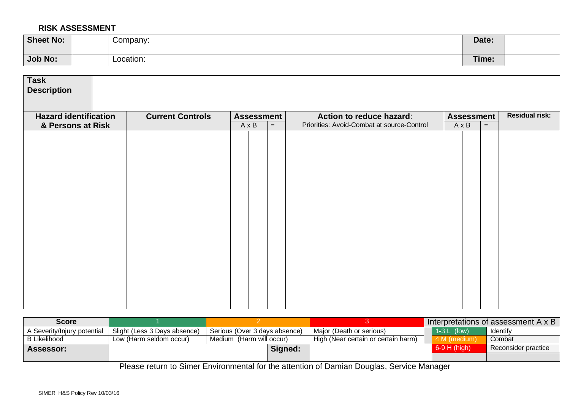#### **RISK ASSESSMENT**

| <b>Sheet No:</b> | Company:  | Date: |  |
|------------------|-----------|-------|--|
| <b>Job No:</b>   | Location: | Time: |  |

| <b>Task</b><br><b>Description</b> |                         |                   |     |                                            |                   |     |                       |
|-----------------------------------|-------------------------|-------------------|-----|--------------------------------------------|-------------------|-----|-----------------------|
| <b>Hazard identification</b>      | <b>Current Controls</b> | <b>Assessment</b> |     | Action to reduce hazard:                   | <b>Assessment</b> |     | <b>Residual risk:</b> |
| & Persons at Risk                 |                         | $A \times B$      | $=$ | Priorities: Avoid-Combat at source-Control | $A \times B$      | $=$ |                       |
|                                   |                         |                   |     |                                            |                   |     |                       |

| <b>Score</b>                       |                              |                               |         |                                     |                | Interpretations of assessment A x B |
|------------------------------------|------------------------------|-------------------------------|---------|-------------------------------------|----------------|-------------------------------------|
| <b>\ Severity/Injury potential</b> | Slight (Less 3 Days absence) | Serious (Over 3 days absence) |         | Major (Death or serious)            | $1-3$ L (low)  | Identify                            |
| B Likelihood                       | Low (Harm seldom occur)      | Medium (Harm will occur)      |         | High (Near certain or certain harm) | 4 M (medium)   | Combat                              |
| Assessor:                          |                              |                               | Signed: |                                     | $6-9$ H (high) | Reconsider practice                 |
|                                    |                              |                               |         |                                     |                |                                     |

Please return to Simer Environmental for the attention of Damian Douglas, Service Manager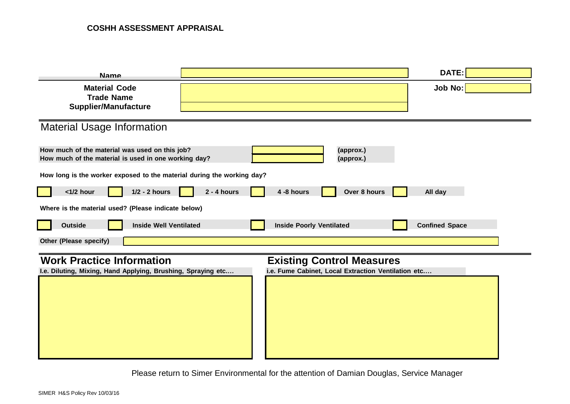| <b>Name</b>                                                                                            |                                                     | <b>DATE:</b>          |
|--------------------------------------------------------------------------------------------------------|-----------------------------------------------------|-----------------------|
| <b>Material Code</b>                                                                                   |                                                     | Job No:               |
| <b>Trade Name</b><br><b>Supplier/Manufacture</b>                                                       |                                                     |                       |
|                                                                                                        |                                                     |                       |
| <b>Material Usage Information</b>                                                                      |                                                     |                       |
| How much of the material was used on this job?<br>How much of the material is used in one working day? | (approx.)<br>(approx.)                              |                       |
| How long is the worker exposed to the material during the working day?                                 |                                                     |                       |
| $1/2 - 2$ hours<br>$<$ 1/2 hour                                                                        | $2 - 4$ hours<br>Over 8 hours<br>4 -8 hours         | All day               |
| Where is the material used? (Please indicate below)                                                    |                                                     |                       |
| <b>Outside</b><br><b>Inside Well Ventilated</b>                                                        | <b>Inside Poorly Ventilated</b>                     | <b>Confined Space</b> |
| Other (Please specify)                                                                                 |                                                     |                       |
| <b>Work Practice Information</b>                                                                       | <b>Existing Control Measures</b>                    |                       |
| I.e. Diluting, Mixing, Hand Applying, Brushing, Spraying etc                                           | i.e. Fume Cabinet, Local Extraction Ventilation etc |                       |
|                                                                                                        |                                                     |                       |
|                                                                                                        |                                                     |                       |
|                                                                                                        |                                                     |                       |
|                                                                                                        |                                                     |                       |
|                                                                                                        |                                                     |                       |

Please return to Simer Environmental for the attention of Damian Douglas, Service Manager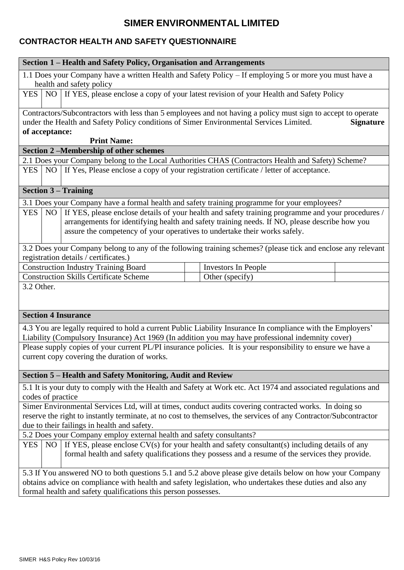## **SIMER ENVIRONMENTAL LIMITED**

### **CONTRACTOR HEALTH AND SAFETY QUESTIONNAIRE**

| 1.1 Does your Company have a written Health and Safety Policy - If employing 5 or more you must have a<br>health and safety policy<br>NO   If YES, please enclose a copy of your latest revision of your Health and Safety Policy<br><b>YES</b><br>Contractors/Subcontractors with less than 5 employees and not having a policy must sign to accept to operate<br>under the Health and Safety Policy conditions of Simer Environmental Services Limited.<br><b>Signature</b><br>of acceptance:<br><b>Print Name:</b><br>Section 2-Membership of other schemes<br>2.1 Does your Company belong to the Local Authorities CHAS (Contractors Health and Safety) Scheme?<br>If Yes, Please enclose a copy of your registration certificate / letter of acceptance.<br>NO<br><b>YES</b><br><b>Section 3 - Training</b><br>3.1 Does your Company have a formal health and safety training programme for your employees?<br>If YES, please enclose details of your health and safety training programme and your procedures /<br><b>YES</b><br>N <sub>O</sub><br>arrangements for identifying health and safety training needs. If NO, please describe how you<br>assure the competency of your operatives to undertake their works safely.<br>3.2 Does your Company belong to any of the following training schemes? (please tick and enclose any relevant<br>registration details / certificates.) |
|-----------------------------------------------------------------------------------------------------------------------------------------------------------------------------------------------------------------------------------------------------------------------------------------------------------------------------------------------------------------------------------------------------------------------------------------------------------------------------------------------------------------------------------------------------------------------------------------------------------------------------------------------------------------------------------------------------------------------------------------------------------------------------------------------------------------------------------------------------------------------------------------------------------------------------------------------------------------------------------------------------------------------------------------------------------------------------------------------------------------------------------------------------------------------------------------------------------------------------------------------------------------------------------------------------------------------------------------------------------------------------------------------|
|                                                                                                                                                                                                                                                                                                                                                                                                                                                                                                                                                                                                                                                                                                                                                                                                                                                                                                                                                                                                                                                                                                                                                                                                                                                                                                                                                                                               |
|                                                                                                                                                                                                                                                                                                                                                                                                                                                                                                                                                                                                                                                                                                                                                                                                                                                                                                                                                                                                                                                                                                                                                                                                                                                                                                                                                                                               |
|                                                                                                                                                                                                                                                                                                                                                                                                                                                                                                                                                                                                                                                                                                                                                                                                                                                                                                                                                                                                                                                                                                                                                                                                                                                                                                                                                                                               |
|                                                                                                                                                                                                                                                                                                                                                                                                                                                                                                                                                                                                                                                                                                                                                                                                                                                                                                                                                                                                                                                                                                                                                                                                                                                                                                                                                                                               |
|                                                                                                                                                                                                                                                                                                                                                                                                                                                                                                                                                                                                                                                                                                                                                                                                                                                                                                                                                                                                                                                                                                                                                                                                                                                                                                                                                                                               |
|                                                                                                                                                                                                                                                                                                                                                                                                                                                                                                                                                                                                                                                                                                                                                                                                                                                                                                                                                                                                                                                                                                                                                                                                                                                                                                                                                                                               |
|                                                                                                                                                                                                                                                                                                                                                                                                                                                                                                                                                                                                                                                                                                                                                                                                                                                                                                                                                                                                                                                                                                                                                                                                                                                                                                                                                                                               |
|                                                                                                                                                                                                                                                                                                                                                                                                                                                                                                                                                                                                                                                                                                                                                                                                                                                                                                                                                                                                                                                                                                                                                                                                                                                                                                                                                                                               |
|                                                                                                                                                                                                                                                                                                                                                                                                                                                                                                                                                                                                                                                                                                                                                                                                                                                                                                                                                                                                                                                                                                                                                                                                                                                                                                                                                                                               |
|                                                                                                                                                                                                                                                                                                                                                                                                                                                                                                                                                                                                                                                                                                                                                                                                                                                                                                                                                                                                                                                                                                                                                                                                                                                                                                                                                                                               |
|                                                                                                                                                                                                                                                                                                                                                                                                                                                                                                                                                                                                                                                                                                                                                                                                                                                                                                                                                                                                                                                                                                                                                                                                                                                                                                                                                                                               |
| <b>Construction Industry Training Board</b><br><b>Investors In People</b>                                                                                                                                                                                                                                                                                                                                                                                                                                                                                                                                                                                                                                                                                                                                                                                                                                                                                                                                                                                                                                                                                                                                                                                                                                                                                                                     |
| <b>Construction Skills Certificate Scheme</b><br>Other (specify)                                                                                                                                                                                                                                                                                                                                                                                                                                                                                                                                                                                                                                                                                                                                                                                                                                                                                                                                                                                                                                                                                                                                                                                                                                                                                                                              |
| 3.2 Other.                                                                                                                                                                                                                                                                                                                                                                                                                                                                                                                                                                                                                                                                                                                                                                                                                                                                                                                                                                                                                                                                                                                                                                                                                                                                                                                                                                                    |
| <b>Section 4 Insurance</b>                                                                                                                                                                                                                                                                                                                                                                                                                                                                                                                                                                                                                                                                                                                                                                                                                                                                                                                                                                                                                                                                                                                                                                                                                                                                                                                                                                    |
| 4.3 You are legally required to hold a current Public Liability Insurance In compliance with the Employers'<br>Liability (Compulsory Insurance) Act 1969 (In addition you may have professional indemnity cover)                                                                                                                                                                                                                                                                                                                                                                                                                                                                                                                                                                                                                                                                                                                                                                                                                                                                                                                                                                                                                                                                                                                                                                              |
| Please supply copies of your current PL/PI insurance policies. It is your responsibility to ensure we have a<br>current copy covering the duration of works.                                                                                                                                                                                                                                                                                                                                                                                                                                                                                                                                                                                                                                                                                                                                                                                                                                                                                                                                                                                                                                                                                                                                                                                                                                  |
| Section 5 - Health and Safety Monitoring, Audit and Review                                                                                                                                                                                                                                                                                                                                                                                                                                                                                                                                                                                                                                                                                                                                                                                                                                                                                                                                                                                                                                                                                                                                                                                                                                                                                                                                    |
| 5.1 It is your duty to comply with the Health and Safety at Work etc. Act 1974 and associated regulations and<br>codes of practice                                                                                                                                                                                                                                                                                                                                                                                                                                                                                                                                                                                                                                                                                                                                                                                                                                                                                                                                                                                                                                                                                                                                                                                                                                                            |
| Simer Environmental Services Ltd, will at times, conduct audits covering contracted works. In doing so                                                                                                                                                                                                                                                                                                                                                                                                                                                                                                                                                                                                                                                                                                                                                                                                                                                                                                                                                                                                                                                                                                                                                                                                                                                                                        |
| reserve the right to instantly terminate, at no cost to themselves, the services of any Contractor/Subcontractor                                                                                                                                                                                                                                                                                                                                                                                                                                                                                                                                                                                                                                                                                                                                                                                                                                                                                                                                                                                                                                                                                                                                                                                                                                                                              |
| due to their failings in health and safety.                                                                                                                                                                                                                                                                                                                                                                                                                                                                                                                                                                                                                                                                                                                                                                                                                                                                                                                                                                                                                                                                                                                                                                                                                                                                                                                                                   |
| 5.2 Does your Company employ external health and safety consultants?                                                                                                                                                                                                                                                                                                                                                                                                                                                                                                                                                                                                                                                                                                                                                                                                                                                                                                                                                                                                                                                                                                                                                                                                                                                                                                                          |
| If YES, please enclose $CV(s)$ for your health and safety consultant(s) including details of any<br><b>YES</b><br><b>NO</b><br>formal health and safety qualifications they possess and a resume of the services they provide.                                                                                                                                                                                                                                                                                                                                                                                                                                                                                                                                                                                                                                                                                                                                                                                                                                                                                                                                                                                                                                                                                                                                                                |
| 5.3 If You answered NO to both questions 5.1 and 5.2 above please give details below on how your Company                                                                                                                                                                                                                                                                                                                                                                                                                                                                                                                                                                                                                                                                                                                                                                                                                                                                                                                                                                                                                                                                                                                                                                                                                                                                                      |
| obtains advice on compliance with health and safety legislation, who undertakes these duties and also any                                                                                                                                                                                                                                                                                                                                                                                                                                                                                                                                                                                                                                                                                                                                                                                                                                                                                                                                                                                                                                                                                                                                                                                                                                                                                     |
| formal health and safety qualifications this person possesses.                                                                                                                                                                                                                                                                                                                                                                                                                                                                                                                                                                                                                                                                                                                                                                                                                                                                                                                                                                                                                                                                                                                                                                                                                                                                                                                                |